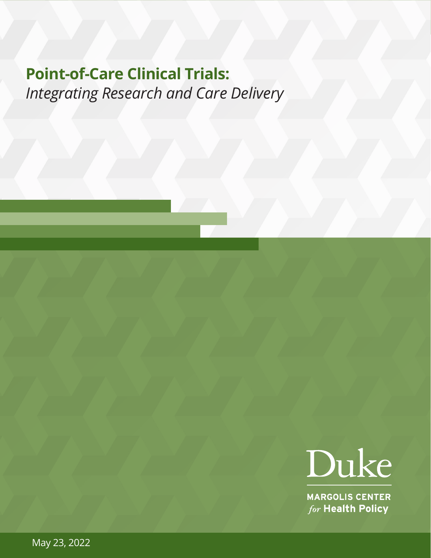# **Point-of-Care Clinical Trials:**  *Integrating Research and Care Delivery*



**MARGOLIS CENTER** for Health Policy

May 23, 2022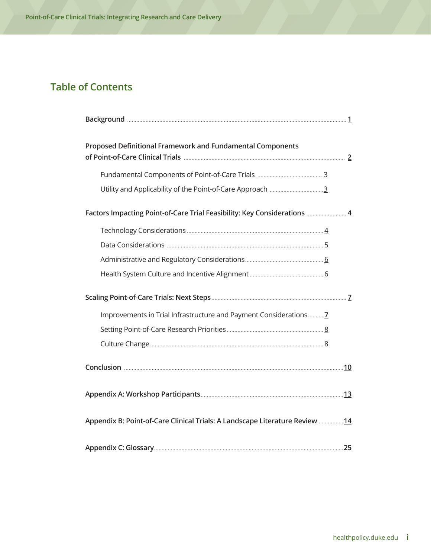# **Table of Contents**

| Proposed Definitional Framework and Fundamental Components                  |  |
|-----------------------------------------------------------------------------|--|
|                                                                             |  |
|                                                                             |  |
|                                                                             |  |
| Factors Impacting Point-of-Care Trial Feasibility: Key Considerations  4    |  |
|                                                                             |  |
|                                                                             |  |
|                                                                             |  |
|                                                                             |  |
|                                                                             |  |
|                                                                             |  |
|                                                                             |  |
|                                                                             |  |
| Improvements in Trial Infrastructure and Payment Considerations 7           |  |
|                                                                             |  |
|                                                                             |  |
|                                                                             |  |
|                                                                             |  |
|                                                                             |  |
| Appendix B: Point-of-Care Clinical Trials: A Landscape Literature Review 14 |  |
|                                                                             |  |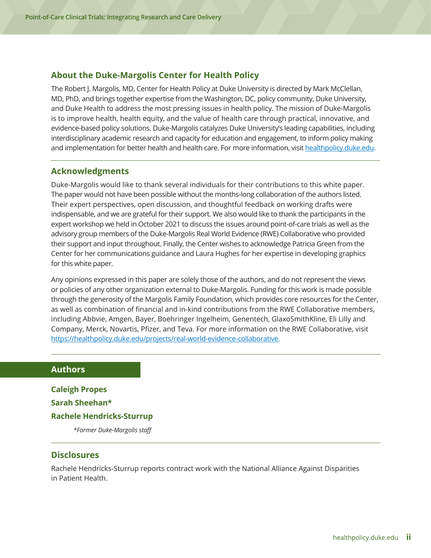#### **About the Duke-Margolis Center for Health Policy**

The Robert J. Margolis, MD, Center for Health Policy at Duke University is directed by Mark McClellan, MD, PhD, and brings together expertise from the Washington, DC, policy community, Duke University, and Duke Health to address the most pressing issues in health policy. The mission of Duke-Margolis is to improve health, health equity, and the value of health care through practical, innovative, and evidence-based policy solutions. Duke-Margolis catalyzes Duke University's leading capabilities, including interdisciplinary academic research and capacity for education and engagement, to inform policy making and implementation for better health and health care. For more information, visit [healthpolicy.duke.edu](http://healthpolicy.duke.edu).

#### **Acknowledgments**

Duke-Margolis would like to thank several individuals for their contributions to this white paper. The paper would not have been possible without the months-long collaboration of the authors listed. Their expert perspectives, open discussion, and thoughtful feedback on working drafts were indispensable, and we are grateful for their support. We also would like to thank the participants in the expert workshop we held in October 2021 to discuss the issues around point-of-care trials as well as the advisory group members of the Duke-Margolis Real World Evidence (RWE) Collaborative who provided their support and input throughout. Finally, the Center wishes to acknowledge Patricia Green from the Center for her communications guidance and Laura Hughes for her expertise in developing graphics for this white paper.

Any opinions expressed in this paper are solely those of the authors, and do not represent the views or policies of any other organization external to Duke-Margolis. Funding for this work is made possible through the generosity of the Margolis Family Foundation, which provides core resources for the Center, as well as combination of financial and in-kind contributions from the RWE Collaborative members, including Abbvie, Amgen, Bayer, Boehringer Ingelheim, Genentech, GlaxoSmithKline, Eli Lilly and Company, Merck, Novartis, Pfizer, and Teva. For more information on the RWE Collaborative, visit [https://healthpolicy.duke.edu/projects/real-world-evidence-collaborative](, visit https://healthpolicy.duke.edu/projects/real-world-evidence-collaborative.).

#### **Authors**

**Caleigh Propes Sarah Sheehan\* Rachele Hendricks-Sturrup**  *\*Former Duke-Margolis staff*

#### **Disclosures**

Rachele Hendricks-Sturrup reports contract work with the National Alliance Against Disparities in Patient Health.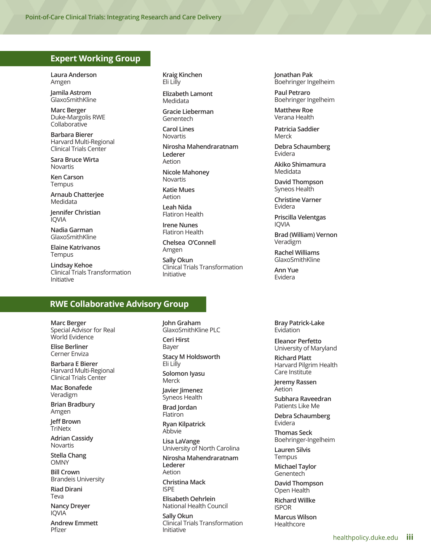#### **Expert Working Group**

**Laura Anderson** Amgen

**Jamila Astrom** GlaxoSmithKline

**Marc Berger** Duke-Margolis RWE Collaborative

**Barbara Bierer** Harvard Multi-Regional Clinical Trials Center

**Sara Bruce Wirta** Novartis

**Ken Carson** Tempus

**Arnaub Chatterjee** Medidata

**Jennifer Christian** IQVIA

**Nadia Garman** GlaxoSmithKline

**Elaine Katrivanos Tempus** 

**Lindsay Kehoe** Clinical Trials Transformation Initiative

**Kraig Kinchen** Eli Lilly

**Elizabeth Lamont** Medidata

**Gracie Lieberman** Genentech

**Carol Lines** Novartis

**Nirosha Mahendraratnam Lederer** Aetion

**Nicole Mahoney** Novartis

**Katie Mues** Aetion

**Leah Nida** Flatiron Health

**Irene Nunes** Flatiron Health

**Chelsea O'Connell** Amgen

**Sally Okun** Clinical Trials Transformation Initiative

**RWE Collaborative Advisory Group** 

**Marc Berger** Special Advisor for Real World Evidence

**Elise Berliner** Cerner Enviza

**Barbara E Bierer** Harvard Multi-Regional Clinical Trials Center

**Mac Bonafede** Veradigm

**Brian Bradbury** Amgen

**Jeff Brown TriNetx** 

**Adrian Cassidy** Novartis

**Stella Chang** OMNY

**Bill Crown** Brandeis University

**Riad Dirani** Teva

**Nancy Dreyer** IQVIA

**Andrew Emmett** Pfizer

**John Graham** GlaxoSmithKline PLC **Ceri Hirst** Bayer **Stacy M Holdsworth** Eli Lilly **Solomon Iyasu** Merck **Javier Jimenez** Syneos Health **Brad Jordan** Flatiron **Ryan Kilpatrick** Abbvie **Lisa LaVange** University of North Carolina **Nirosha Mahendraratnam Lederer** Aetion **Christina Mack** ISPE **Elisabeth Oehrlein** National Health Council **Sally Okun** Clinical Trials Transformation

Initiative

**Jonathan Pak** Boehringer Ingelheim

**Paul Petraro** Boehringer Ingelheim

**Matthew Roe** Verana Health

**Patricia Saddier** Merck

**Debra Schaumberg**  Evidera

**Akiko Shimamura** Medidata

**David Thompson** Syneos Health

**Christine Varner** Evidera

**Priscilla Velentgas** IQVIA

**Brad (William) Vernon** Veradigm

**Rachel Williams** GlaxoSmithKline

**Ann Yue** Evidera

**Bray Patrick-Lake** Evidation

**Eleanor Perfetto** University of Maryland

**Richard Platt** Harvard Pilgrim Health Care Institute

**Jeremy Rassen** Aetion

**Subhara Raveedran** Patients Like Me

**Debra Schaumberg** Evidera

**Thomas Seck** Boehringer-Ingelheim

**Lauren Silvis** Tempus

**Michael Taylor** Genentech

**David Thompson** Open Health

**Richard Willke** ISPOR

**Marcus Wilson** Healthcore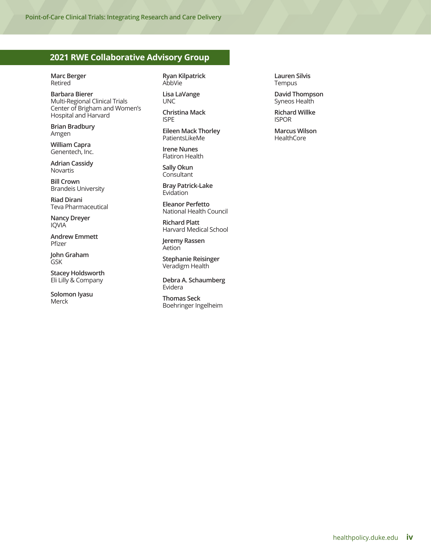#### **2021 RWE Collaborative Advisory Group**

**Marc Berger** Retired

**Barbara Bierer** Multi-Regional Clinical Trials Center of Brigham and Women's Hospital and Harvard

**Brian Bradbury** Amgen

**William Capra** Genentech, Inc.

**Adrian Cassidy** Novartis

**Bill Crown** Brandeis University

**Riad Dirani** Teva Pharmaceutical

**Nancy Dreyer** IQVIA

**Andrew Emmett** Pfizer

**John Graham** GSK

**Stacey Holdsworth** Eli Lilly & Company

**Solomon Iyasu** Merck

**Ryan Kilpatrick** AbbVie

**Lisa LaVange** UNC

**Christina Mack** ISPE

**Eileen Mack Thorley** PatientsLikeMe

**Irene Nunes** Flatiron Health

**Sally Okun Consultant** 

**Bray Patrick-Lake** Evidation

**Eleanor Perfetto** National Health Council

**Richard Platt** Harvard Medical School

**Jeremy Rassen Aetion** 

**Stephanie Reisinger** Veradigm Health

**Debra A. Schaumberg** Evidera

**Thomas Seck** Boehringer Ingelheim **Lauren Silvis** Tempus

**David Thompson** Syneos Health

**Richard Willke** ISPOR

**Marcus Wilson HealthCore**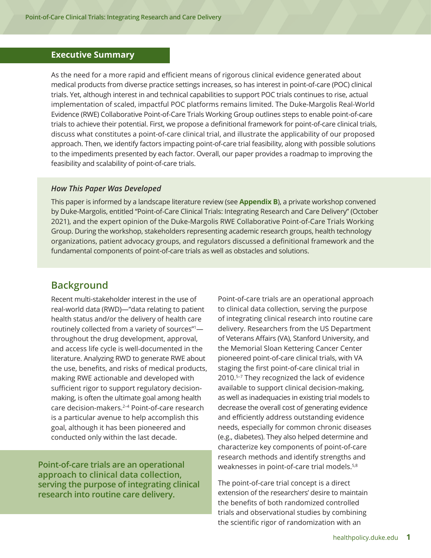#### <span id="page-5-0"></span>**Executive Summary**

As the need for a more rapid and efficient means of rigorous clinical evidence generated about medical products from diverse practice settings increases, so has interest in point-of-care (POC) clinical trials. Yet, although interest in and technical capabilities to support POC trials continues to rise, actual implementation of scaled, impactful POC platforms remains limited. The Duke-Margolis Real-World Evidence (RWE) Collaborative Point-of-Care Trials Working Group outlines steps to enable point-of-care trials to achieve their potential. First, we propose a definitional framework for point-of-care clinical trials, discuss what constitutes a point-of-care clinical trial, and illustrate the applicability of our proposed approach. Then, we identify factors impacting point-of-care trial feasibility, along with possible solutions to the impediments presented by each factor. Overall, our paper provides a roadmap to improving the feasibility and scalability of point-of-care trials.

#### *How This Paper Was Developed*

This paper is informed by a landscape literature review (see **Appendix B**), a private workshop convened by Duke-Margolis, entitled "Point-of-Care Clinical Trials: Integrating Research and Care Delivery" (October 2021), and the expert opinion of the Duke-Margolis RWE Collaborative Point-of-Care Trials Working Group. During the workshop, stakeholders representing academic research groups, health technology organizations, patient advocacy groups, and regulators discussed a definitional framework and the fundamental components of point-of-care trials as well as obstacles and solutions.

# **Background**

Recent multi-stakeholder interest in the use of real-world data (RWD)—"data relating to patient health status and/or the delivery of health care routinely collected from a variety of sources"1 throughout the drug development, approval, and access life cycle is well-documented in the literature. Analyzing RWD to generate RWE about the use, benefits, and risks of medical products, making RWE actionable and developed with sufficient rigor to support regulatory decisionmaking, is often the ultimate goal among health care decision-makers.2–4 Point-of-care research is a particular avenue to help accomplish this goal, although it has been pioneered and conducted only within the last decade.

**Point-of-care trials are an operational approach to clinical data collection, serving the purpose of integrating clinical research into routine care delivery.** 

Point-of-care trials are an operational approach to clinical data collection, serving the purpose of integrating clinical research into routine care delivery. Researchers from the US Department of Veterans Affairs (VA), Stanford University, and the Memorial Sloan Kettering Cancer Center pioneered point-of-care clinical trials, with VA staging the first point-of-care clinical trial in 2010.5–7 They recognized the lack of evidence available to support clinical decision-making, as well as inadequacies in existing trial models to decrease the overall cost of generating evidence and efficiently address outstanding evidence needs, especially for common chronic diseases (e.g., diabetes). They also helped determine and characterize key components of point-of-care research methods and identify strengths and weaknesses in point-of-care trial models.5,8

The point-of-care trial concept is a direct extension of the researchers' desire to maintain the benefits of both randomized controlled trials and observational studies by combining the scientific rigor of randomization with an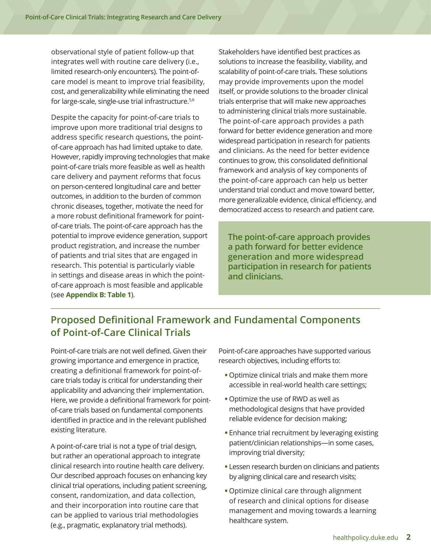<span id="page-6-0"></span>observational style of patient follow-up that integrates well with routine care delivery (i.e., limited research-only encounters). The point-ofcare model is meant to improve trial feasibility, cost, and generalizability while eliminating the need for large-scale, single-use trial infrastructure.<sup>5,6</sup>

Despite the capacity for point-of-care trials to improve upon more traditional trial designs to address specific research questions, the pointof-care approach has had limited uptake to date. However, rapidly improving technologies that make point-of-care trials more feasible as well as health care delivery and payment reforms that focus on person-centered longitudinal care and better outcomes, in addition to the burden of common chronic diseases, together, motivate the need for a more robust definitional framework for pointof-care trials. The point-of-care approach has the potential to improve evidence generation, support product registration, and increase the number of patients and trial sites that are engaged in research. This potential is particularly viable in settings and disease areas in which the pointof-care approach is most feasible and applicable (see **Appendix B: Table 1**).

Stakeholders have identified best practices as solutions to increase the feasibility, viability, and scalability of point-of-care trials. These solutions may provide improvements upon the model itself, or provide solutions to the broader clinical trials enterprise that will make new approaches to administering clinical trials more sustainable. The point-of-care approach provides a path forward for better evidence generation and more widespread participation in research for patients and clinicians. As the need for better evidence continues to grow, this consolidated definitional framework and analysis of key components of the point-of-care approach can help us better understand trial conduct and move toward better, more generalizable evidence, clinical efficiency, and democratized access to research and patient care.

**The point-of-care approach provides a path forward for better evidence generation and more widespread participation in research for patients and clinicians.** 

# **Proposed Definitional Framework and Fundamental Components of Point-of-Care Clinical Trials**

Point-of-care trials are not well defined. Given their growing importance and emergence in practice, creating a definitional framework for point-ofcare trials today is critical for understanding their applicability and advancing their implementation. Here, we provide a definitional framework for pointof-care trials based on fundamental components identified in practice and in the relevant published existing literature.

A point-of-care trial is not a type of trial design, but rather an operational approach to integrate clinical research into routine health care delivery. Our described approach focuses on enhancing key clinical trial operations, including patient screening, consent, randomization, and data collection, and their incorporation into routine care that can be applied to various trial methodologies (e.g., pragmatic, explanatory trial methods).

Point-of-care approaches have supported various research objectives, including efforts to:

- **•** Optimize clinical trials and make them more accessible in real-world health care settings;
- **•** Optimize the use of RWD as well as methodological designs that have provided reliable evidence for decision making;
- **•** Enhance trial recruitment by leveraging existing patient/clinician relationships—in some cases, improving trial diversity;
- **•** Lessen research burden on clinicians and patients by aligning clinical care and research visits;
- **•** Optimize clinical care through alignment of research and clinical options for disease management and moving towards a learning healthcare system.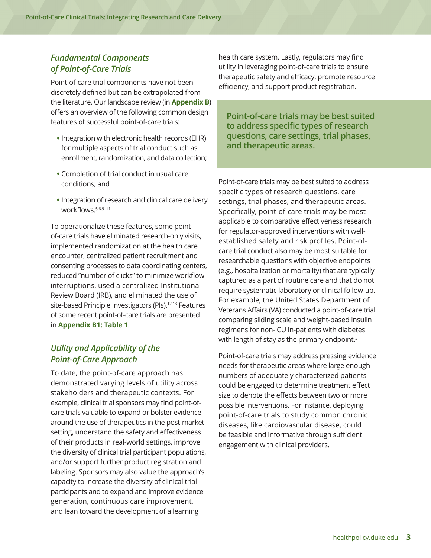### <span id="page-7-0"></span>*Fundamental Components of Point-of-Care Trials*

Point-of-care trial components have not been discretely defined but can be extrapolated from the literature. Our landscape review (in **Appendix B**) offers an overview of the following common design features of successful point-of-care trials:

- **•** Integration with electronic health records (EHR) for multiple aspects of trial conduct such as enrollment, randomization, and data collection;
- **•** Completion of trial conduct in usual care conditions; and
- **•** Integration of research and clinical care delivery workflows.5,6,9–11

To operationalize these features, some pointof-care trials have eliminated research-only visits, implemented randomization at the health care encounter, centralized patient recruitment and consenting processes to data coordinating centers, reduced "number of clicks" to minimize workflow interruptions, used a centralized Institutional Review Board (IRB), and eliminated the use of site-based Principle Investigators (PIs).<sup>12,13</sup> Features of some recent point-of-care trials are presented in **Appendix B1: Table 1**.

### *Utility and Applicability of the Point-of-Care Approach*

To date, the point-of-care approach has demonstrated varying levels of utility across stakeholders and therapeutic contexts. For example, clinical trial sponsors may find point-ofcare trials valuable to expand or bolster evidence around the use of therapeutics in the post-market setting, understand the safety and effectiveness of their products in real-world settings, improve the diversity of clinical trial participant populations, and/or support further product registration and labeling. Sponsors may also value the approach's capacity to increase the diversity of clinical trial participants and to expand and improve evidence generation, continuous care improvement, and lean toward the development of a learning

health care system. Lastly, regulators may find utility in leveraging point-of-care trials to ensure therapeutic safety and efficacy, promote resource efficiency, and support product registration.

**Point-of-care trials may be best suited to address specific types of research questions, care settings, trial phases, and therapeutic areas.** 

Point-of-care trials may be best suited to address specific types of research questions, care settings, trial phases, and therapeutic areas. Specifically, point-of-care trials may be most applicable to comparative effectiveness research for regulator-approved interventions with wellestablished safety and risk profiles. Point-ofcare trial conduct also may be most suitable for researchable questions with objective endpoints (e.g., hospitalization or mortality) that are typically captured as a part of routine care and that do not require systematic laboratory or clinical follow-up. For example, the United States Department of Veterans Affairs (VA) conducted a point-of-care trial comparing sliding scale and weight-based insulin regimens for non-ICU in-patients with diabetes with length of stay as the primary endpoint.<sup>5</sup>

Point-of-care trials may address pressing evidence needs for therapeutic areas where large enough numbers of adequately characterized patients could be engaged to determine treatment effect size to denote the effects between two or more possible interventions. For instance, deploying point-of-care trials to study common chronic diseases, like cardiovascular disease, could be feasible and informative through sufficient engagement with clinical providers.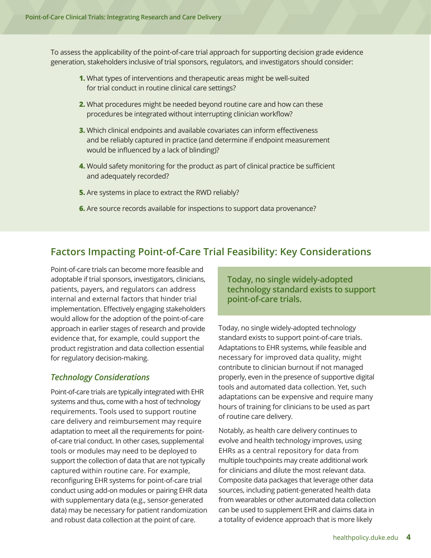<span id="page-8-0"></span>To assess the applicability of the point-of-care trial approach for supporting decision grade evidence generation, stakeholders inclusive of trial sponsors, regulators, and investigators should consider:

- **1.** What types of interventions and therapeutic areas might be well-suited for trial conduct in routine clinical care settings?
- **2.** What procedures might be needed beyond routine care and how can these procedures be integrated without interrupting clinician workflow?
- **3.** Which clinical endpoints and available covariates can inform effectiveness and be reliably captured in practice (and determine if endpoint measurement would be influenced by a lack of blinding)?
- **4.** Would safety monitoring for the product as part of clinical practice be sufficient and adequately recorded?
- **5.** Are systems in place to extract the RWD reliably?
- **6.** Are source records available for inspections to support data provenance?

# **Factors Impacting Point-of-Care Trial Feasibility: Key Considerations**

Point-of-care trials can become more feasible and adoptable if trial sponsors, investigators, clinicians, patients, payers, and regulators can address internal and external factors that hinder trial implementation. Effectively engaging stakeholders would allow for the adoption of the point-of-care approach in earlier stages of research and provide evidence that, for example, could support the product registration and data collection essential for regulatory decision-making.

#### *Technology Considerations*

Point-of-care trials are typically integrated with EHR systems and thus, come with a host of technology requirements. Tools used to support routine care delivery and reimbursement may require adaptation to meet all the requirements for pointof-care trial conduct. In other cases, supplemental tools or modules may need to be deployed to support the collection of data that are not typically captured within routine care. For example, reconfiguring EHR systems for point-of-care trial conduct using add-on modules or pairing EHR data with supplementary data (e.g., sensor-generated data) may be necessary for patient randomization and robust data collection at the point of care.

**Today, no single widely-adopted technology standard exists to support point-of-care trials.** 

Today, no single widely-adopted technology standard exists to support point-of-care trials. Adaptations to EHR systems, while feasible and necessary for improved data quality, might contribute to clinician burnout if not managed properly, even in the presence of supportive digital tools and automated data collection. Yet, such adaptations can be expensive and require many hours of training for clinicians to be used as part of routine care delivery.

Notably, as health care delivery continues to evolve and health technology improves, using EHRs as a central repository for data from multiple touchpoints may create additional work for clinicians and dilute the most relevant data. Composite data packages that leverage other data sources, including patient-generated health data from wearables or other automated data collection can be used to supplement EHR and claims data in a totality of evidence approach that is more likely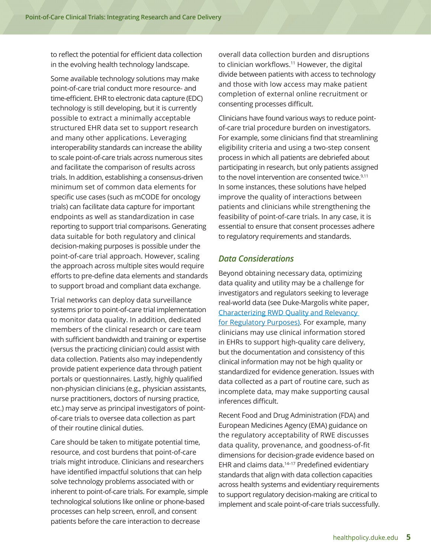<span id="page-9-0"></span>to reflect the potential for efficient data collection in the evolving health technology landscape.

Some available technology solutions may make point-of-care trial conduct more resource- and time-efficient. EHR to electronic data capture (EDC) technology is still developing, but it is currently possible to extract a minimally acceptable structured EHR data set to support research and many other applications. Leveraging interoperability standards can increase the ability to scale point-of-care trials across numerous sites and facilitate the comparison of results across trials. In addition, establishing a consensus-driven minimum set of common data elements for specific use cases (such as mCODE for oncology trials) can facilitate data capture for important endpoints as well as standardization in case reporting to support trial comparisons. Generating data suitable for both regulatory and clinical decision-making purposes is possible under the point-of-care trial approach. However, scaling the approach across multiple sites would require efforts to pre-define data elements and standards to support broad and compliant data exchange.

Trial networks can deploy data surveillance systems prior to point-of-care trial implementation to monitor data quality. In addition, dedicated members of the clinical research or care team with sufficient bandwidth and training or expertise (versus the practicing clinician) could assist with data collection. Patients also may independently provide patient experience data through patient portals or questionnaires. Lastly, highly qualified non-physician clinicians (e.g., physician assistants, nurse practitioners, doctors of nursing practice, etc.) may serve as principal investigators of pointof-care trials to oversee data collection as part of their routine clinical duties.

Care should be taken to mitigate potential time, resource, and cost burdens that point-of-care trials might introduce. Clinicians and researchers have identified impactful solutions that can help solve technology problems associated with or inherent to point-of-care trials. For example, simple technological solutions like online or phone-based processes can help screen, enroll, and consent patients before the care interaction to decrease

overall data collection burden and disruptions to clinician workflows.<sup>11</sup> However, the digital divide between patients with access to technology and those with low access may make patient completion of external online recruitment or consenting processes difficult.

Clinicians have found various ways to reduce pointof-care trial procedure burden on investigators. For example, some clinicians find that streamlining eligibility criteria and using a two-step consent process in which all patients are debriefed about participating in research, but only patients assigned to the novel intervention are consented twice.<sup>9,11</sup> In some instances, these solutions have helped improve the quality of interactions between patients and clinicians while strengthening the feasibility of point-of-care trials. In any case, it is essential to ensure that consent processes adhere to regulatory requirements and standards.

### *Data Considerations*

Beyond obtaining necessary data, optimizing data quality and utility may be a challenge for investigators and regulators seeking to leverage real-world data (see Duke-Margolis white paper, [Characterizing RWD Quality and Relevancy](https://healthpolicy.duke.edu/sites/default/files/2020-03/characterizing_rwd.pdf)  [for Regulatory Purposes\).](https://healthpolicy.duke.edu/sites/default/files/2020-03/characterizing_rwd.pdf) For example, many clinicians may use clinical information stored in EHRs to support high-quality care delivery, but the documentation and consistency of this clinical information may not be high quality or standardized for evidence generation. Issues with data collected as a part of routine care, such as incomplete data, may make supporting causal inferences difficult.

Recent Food and Drug Administration (FDA) and European Medicines Agency (EMA) guidance on the regulatory acceptability of RWE discusses data quality, provenance, and goodness-of-fit dimensions for decision-grade evidence based on EHR and claims data.<sup>14-17</sup> Predefined evidentiary standards that align with data collection capacities across health systems and evidentiary requirements to support regulatory decision-making are critical to implement and scale point-of-care trials successfully.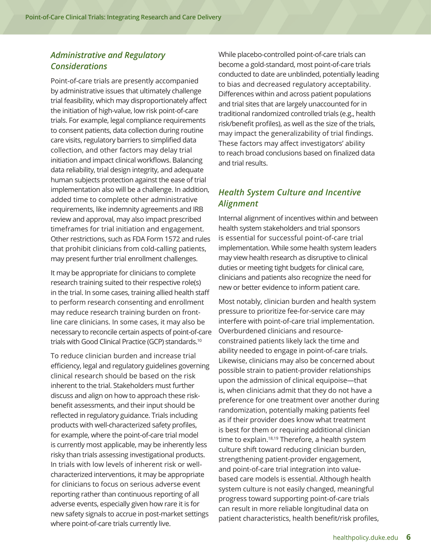### <span id="page-10-0"></span>*Administrative and Regulatory Considerations*

Point-of-care trials are presently accompanied by administrative issues that ultimately challenge trial feasibility, which may disproportionately affect the initiation of high-value, low risk point-of-care trials. For example, legal compliance requirements to consent patients, data collection during routine care visits, regulatory barriers to simplified data collection, and other factors may delay trial initiation and impact clinical workflows. Balancing data reliability, trial design integrity, and adequate human subjects protection against the ease of trial implementation also will be a challenge. In addition, added time to complete other administrative requirements, like indemnity agreements and IRB review and approval, may also impact prescribed timeframes for trial initiation and engagement. Other restrictions, such as FDA Form 1572 and rules that prohibit clinicians from cold-calling patients, may present further trial enrollment challenges.

It may be appropriate for clinicians to complete research training suited to their respective role(s) in the trial. In some cases, training allied health staff to perform research consenting and enrollment may reduce research training burden on frontline care clinicians. In some cases, it may also be necessary to reconcile certain aspects of point-of-care trials with Good Clinical Practice (GCP) standards.10

To reduce clinician burden and increase trial efficiency, legal and regulatory guidelines governing clinical research should be based on the risk inherent to the trial. Stakeholders must further discuss and align on how to approach these riskbenefit assessments, and their input should be reflected in regulatory guidance. Trials including products with well-characterized safety profiles, for example, where the point-of-care trial model is currently most applicable, may be inherently less risky than trials assessing investigational products. In trials with low levels of inherent risk or wellcharacterized interventions, it may be appropriate for clinicians to focus on serious adverse event reporting rather than continuous reporting of all adverse events, especially given how rare it is for new safety signals to accrue in post-market settings where point-of-care trials currently live.

While placebo-controlled point-of-care trials can become a gold-standard, most point-of-care trials conducted to date are unblinded, potentially leading to bias and decreased regulatory acceptability. Differences within and across patient populations and trial sites that are largely unaccounted for in traditional randomized controlled trials (e.g., health risk/benefit profiles), as well as the size of the trials, may impact the generalizability of trial findings. These factors may affect investigators' ability to reach broad conclusions based on finalized data and trial results.

# *Health System Culture and Incentive Alignment*

Internal alignment of incentives within and between health system stakeholders and trial sponsors is essential for successful point-of-care trial implementation. While some health system leaders may view health research as disruptive to clinical duties or meeting tight budgets for clinical care, clinicians and patients also recognize the need for new or better evidence to inform patient care.

Most notably, clinician burden and health system pressure to prioritize fee-for-service care may interfere with point-of-care trial implementation. Overburdened clinicians and resourceconstrained patients likely lack the time and ability needed to engage in point-of-care trials. Likewise, clinicians may also be concerned about possible strain to patient-provider relationships upon the admission of clinical equipoise—that is, when clinicians admit that they do not have a preference for one treatment over another during randomization, potentially making patients feel as if their provider does know what treatment is best for them or requiring additional clinician time to explain.<sup>18,19</sup> Therefore, a health system culture shift toward reducing clinician burden, strengthening patient-provider engagement, and point-of-care trial integration into valuebased care models is essential. Although health system culture is not easily changed, meaningful progress toward supporting point-of-care trials can result in more reliable longitudinal data on patient characteristics, health benefit/risk profiles,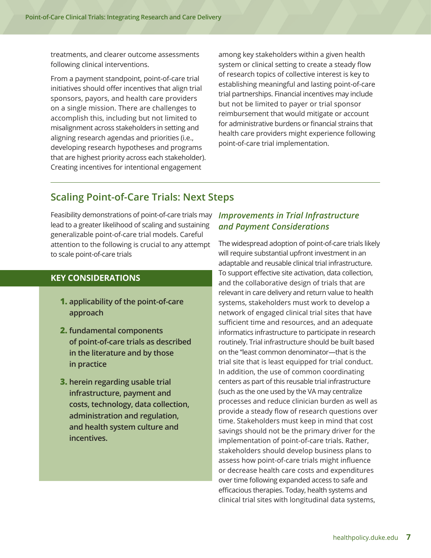<span id="page-11-0"></span>treatments, and clearer outcome assessments following clinical interventions.

From a payment standpoint, point-of-care trial initiatives should offer incentives that align trial sponsors, payors, and health care providers on a single mission. There are challenges to accomplish this, including but not limited to misalignment across stakeholders in setting and aligning research agendas and priorities (i.e., developing research hypotheses and programs that are highest priority across each stakeholder). Creating incentives for intentional engagement

among key stakeholders within a given health system or clinical setting to create a steady flow of research topics of collective interest is key to establishing meaningful and lasting point-of-care trial partnerships. Financial incentives may include but not be limited to payer or trial sponsor reimbursement that would mitigate or account for administrative burdens or financial strains that health care providers might experience following point-of-care trial implementation.

# **Scaling Point-of-Care Trials: Next Steps**

Feasibility demonstrations of point-of-care trials may lead to a greater likelihood of scaling and sustaining generalizable point-of-care trial models. Careful attention to the following is crucial to any attempt to scale point-of-care trials

## **KEY CONSIDERATIONS**

- **1. applicability of the point-of-care approach**
- **2. fundamental components of point-of-care trials as described in the literature and by those in practice**
- **3. herein regarding usable trial infrastructure, payment and costs, technology, data collection, administration and regulation, and health system culture and incentives.**

## *Improvements in Trial Infrastructure and Payment Considerations*

The widespread adoption of point-of-care trials likely will require substantial upfront investment in an adaptable and reusable clinical trial infrastructure. To support effective site activation, data collection, and the collaborative design of trials that are relevant in care delivery and return value to health systems, stakeholders must work to develop a network of engaged clinical trial sites that have sufficient time and resources, and an adequate informatics infrastructure to participate in research routinely. Trial infrastructure should be built based on the "least common denominator—that is the trial site that is least equipped for trial conduct. In addition, the use of common coordinating centers as part of this reusable trial infrastructure (such as the one used by the VA may centralize processes and reduce clinician burden as well as provide a steady flow of research questions over time. Stakeholders must keep in mind that cost savings should not be the primary driver for the implementation of point-of-care trials. Rather, stakeholders should develop business plans to assess how point-of-care trials might influence or decrease health care costs and expenditures over time following expanded access to safe and efficacious therapies. Today, health systems and clinical trial sites with longitudinal data systems,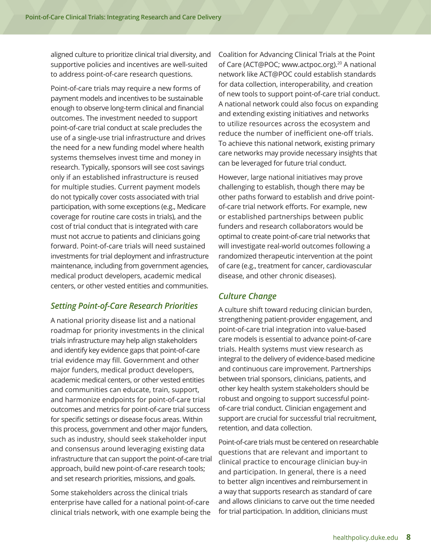<span id="page-12-0"></span>aligned culture to prioritize clinical trial diversity, and supportive policies and incentives are well-suited to address point-of-care research questions.

Point-of-care trials may require a new forms of payment models and incentives to be sustainable enough to observe long-term clinical and financial outcomes. The investment needed to support point-of-care trial conduct at scale precludes the use of a single-use trial infrastructure and drives the need for a new funding model where health systems themselves invest time and money in research. Typically, sponsors will see cost savings only if an established infrastructure is reused for multiple studies. Current payment models do not typically cover costs associated with trial participation, with some exceptions (e.g., Medicare coverage for routine care costs in trials), and the cost of trial conduct that is integrated with care must not accrue to patients and clinicians going forward. Point-of-care trials will need sustained investments for trial deployment and infrastructure maintenance, including from government agencies, medical product developers, academic medical centers, or other vested entities and communities.

### *Setting Point-of-Care Research Priorities*

A national priority disease list and a national roadmap for priority investments in the clinical trials infrastructure may help align stakeholders and identify key evidence gaps that point-of-care trial evidence may fill. Government and other major funders, medical product developers, academic medical centers, or other vested entities and communities can educate, train, support, and harmonize endpoints for point-of-care trial outcomes and metrics for point-of-care trial success for specific settings or disease focus areas. Within this process, government and other major funders, such as industry, should seek stakeholder input and consensus around leveraging existing data infrastructure that can support the point-of-care trial approach, build new point-of-care research tools; and set research priorities, missions, and goals.

Some stakeholders across the clinical trials enterprise have called for a national point-of-care clinical trials network, with one example being the Coalition for Advancing Clinical Trials at the Point of Care (ACT@POC; www.actpoc.org).<sup>20</sup> A national network like ACT@POC could establish standards for data collection, interoperability, and creation of new tools to support point-of-care trial conduct. A national network could also focus on expanding and extending existing initiatives and networks to utilize resources across the ecosystem and reduce the number of inefficient one-off trials. To achieve this national network, existing primary care networks may provide necessary insights that can be leveraged for future trial conduct.

However, large national initiatives may prove challenging to establish, though there may be other paths forward to establish and drive pointof-care trial network efforts. For example, new or established partnerships between public funders and research collaborators would be optimal to create point-of-care trial networks that will investigate real-world outcomes following a randomized therapeutic intervention at the point of care (e.g., treatment for cancer, cardiovascular disease, and other chronic diseases).

### *Culture Change*

A culture shift toward reducing clinician burden, strengthening patient-provider engagement, and point-of-care trial integration into value-based care models is essential to advance point-of-care trials. Health systems must view research as integral to the delivery of evidence-based medicine and continuous care improvement. Partnerships between trial sponsors, clinicians, patients, and other key health system stakeholders should be robust and ongoing to support successful pointof-care trial conduct. Clinician engagement and support are crucial for successful trial recruitment, retention, and data collection.

Point-of-care trials must be centered on researchable questions that are relevant and important to clinical practice to encourage clinician buy-in and participation. In general, there is a need to better align incentives and reimbursement in a way that supports research as standard of care and allows clinicians to carve out the time needed for trial participation. In addition, clinicians must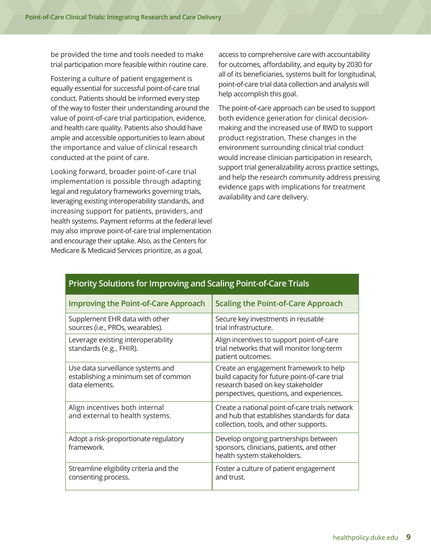be provided the time and tools needed to make trial participation more feasible within routine care.

Fostering a culture of patient engagement is equally essential for successful point-of-care trial conduct. Patients should be informed every step of the way to foster their understanding around the value of point-of-care trial participation, evidence, and health care quality. Patients also should have ample and accessible opportunities to learn about the importance and value of clinical research conducted at the point of care.

Looking forward, broader point-of-care trial implementation is possible through adapting legal and regulatory frameworks governing trials, leveraging existing interoperability standards, and increasing support for patients, providers, and health systems. Payment reforms at the federal level may also improve point-of-care trial implementation and encourage their uptake. Also, as the Centers for Medicare & Medicaid Services prioritize, as a goal,

access to comprehensive care with accountability for outcomes, affordability, and equity by 2030 for all of its beneficiaries, systems built for longitudinal, point-of-care trial data collection and analysis will help accomplish this goal.

The point-of-care approach can be used to support both evidence generation for clinical decisionmaking and the increased use of RWD to support product registration. These changes in the environment surrounding clinical trial conduct would increase clinician participation in research, support trial generalizability across practice settings, and help the research community address pressing evidence gaps with implications for treatment availability and care delivery.

| <b>Improving the Point-of-Care Approach</b>                                                 | <b>Scaling the Point-of-Care Approach</b>                                                                                                                                 |
|---------------------------------------------------------------------------------------------|---------------------------------------------------------------------------------------------------------------------------------------------------------------------------|
| Supplement EHR data with other<br>sources (i.e., PROs, wearables).                          | Secure key investments in reusable<br>trial infrastructure.                                                                                                               |
| Leverage existing interoperability<br>standards (e.g., FHIR).                               | Align incentives to support point-of-care<br>trial networks that will monitor long-term<br>patient outcomes.                                                              |
| Use data surveillance systems and<br>establishing a minimum set of common<br>data elements. | Create an engagement framework to help<br>build capacity for future point-of-care trial<br>research based on key stakeholder<br>perspectives, questions, and experiences. |
| Align incentives both internal<br>and external to health systems.                           | Create a national point-of-care trials network<br>and hub that establishes standards for data<br>collection, tools, and other supports.                                   |
| Adopt a risk-proportionate regulatory<br>framework.                                         | Develop ongoing partnerships between<br>sponsors, clinicians, patients, and other<br>health system stakeholders.                                                          |
| Streamline eligibility criteria and the<br>consenting process.                              | Foster a culture of patient engagement<br>and trust.                                                                                                                      |

# **Priority Solutions for Improving and Scaling Point-of-Care Trials**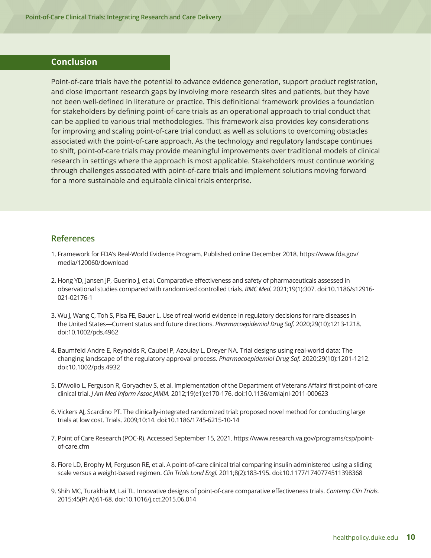#### <span id="page-14-0"></span>**Conclusion**

Point-of-care trials have the potential to advance evidence generation, support product registration, and close important research gaps by involving more research sites and patients, but they have not been well-defined in literature or practice. This definitional framework provides a foundation for stakeholders by defining point-of-care trials as an operational approach to trial conduct that can be applied to various trial methodologies. This framework also provides key considerations for improving and scaling point-of-care trial conduct as well as solutions to overcoming obstacles associated with the point-of-care approach. As the technology and regulatory landscape continues to shift, point-of-care trials may provide meaningful improvements over traditional models of clinical research in settings where the approach is most applicable. Stakeholders must continue working through challenges associated with point-of-care trials and implement solutions moving forward for a more sustainable and equitable clinical trials enterprise.

#### **References**

- 1. Framework for FDA's Real-World Evidence Program. Published online December 2018. https://www.fda.gov/ media/120060/download
- 2. Hong YD, Jansen JP, Guerino J, et al. Comparative effectiveness and safety of pharmaceuticals assessed in observational studies compared with randomized controlled trials. *BMC Med.* 2021;19(1):307. doi:10.1186/s12916- 021-02176-1
- 3. Wu J, Wang C, Toh S, Pisa FE, Bauer L. Use of real-world evidence in regulatory decisions for rare diseases in the United States—Current status and future directions. *Pharmacoepidemiol Drug Saf.* 2020;29(10):1213-1218. doi:10.1002/pds.4962
- 4. Baumfeld Andre E, Reynolds R, Caubel P, Azoulay L, Dreyer NA. Trial designs using real-world data: The changing landscape of the regulatory approval process. *Pharmacoepidemiol Drug Saf.* 2020;29(10):1201-1212. doi:10.1002/pds.4932
- 5. D'Avolio L, Ferguson R, Goryachev S, et al. Implementation of the Department of Veterans Affairs' first point-of-care clinical trial. *J Am Med Inform Assoc JAMIA.* 2012;19(e1):e170-176. doi:10.1136/amiajnl-2011-000623
- 6. Vickers AJ, Scardino PT. The clinically-integrated randomized trial: proposed novel method for conducting large trials at low cost. Trials. 2009;10:14. doi:10.1186/1745-6215-10-14
- 7. Point of Care Research (POC-R). Accessed September 15, 2021. https://www.research.va.gov/programs/csp/pointof-care.cfm
- 8. Fiore LD, Brophy M, Ferguson RE, et al. A point-of-care clinical trial comparing insulin administered using a sliding scale versus a weight-based regimen. *Clin Trials Lond Engl.* 2011;8(2):183-195. doi:10.1177/1740774511398368
- 9. Shih MC, Turakhia M, Lai TL. Innovative designs of point-of-care comparative effectiveness trials. *Contemp Clin Trials.* 2015;45(Pt A):61-68. doi:10.1016/j.cct.2015.06.014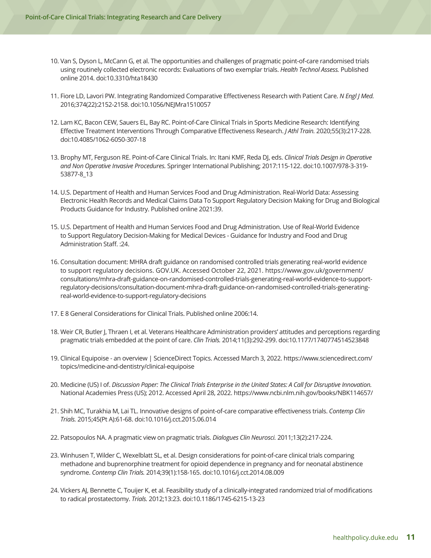- 10. Van S, Dyson L, McCann G, et al. The opportunities and challenges of pragmatic point-of-care randomised trials using routinely collected electronic records: Evaluations of two exemplar trials. *Health Technol Assess.* Published online 2014. doi:10.3310/hta18430
- 11. Fiore LD, Lavori PW. Integrating Randomized Comparative Effectiveness Research with Patient Care. *N Engl J Med.* 2016;374(22):2152-2158. doi:10.1056/NEJMra1510057
- 12. Lam KC, Bacon CEW, Sauers EL, Bay RC. Point-of-Care Clinical Trials in Sports Medicine Research: Identifying Effective Treatment Interventions Through Comparative Effectiveness Research. *J Athl Train.* 2020;55(3):217-228. doi:10.4085/1062-6050-307-18
- 13. Brophy MT, Ferguson RE. Point-of-Care Clinical Trials. In: Itani KMF, Reda DJ, eds. *Clinical Trials Design in Operative and Non Operative Invasive Procedures.* Springer International Publishing; 2017:115-122. doi:10.1007/978-3-319- 53877-8\_13
- 14. U.S. Department of Health and Human Services Food and Drug Administration. Real-World Data: Assessing Electronic Health Records and Medical Claims Data To Support Regulatory Decision Making for Drug and Biological Products Guidance for Industry. Published online 2021:39.
- 15. U.S. Department of Health and Human Services Food and Drug Administration. Use of Real-World Evidence to Support Regulatory Decision-Making for Medical Devices - Guidance for Industry and Food and Drug Administration Staff. :24.
- 16. Consultation document: MHRA draft guidance on randomised controlled trials generating real-world evidence to support regulatory decisions. GOV.UK. Accessed October 22, 2021. https://www.gov.uk/government/ consultations/mhra-draft-guidance-on-randomised-controlled-trials-generating-real-world-evidence-to-supportregulatory-decisions/consultation-document-mhra-draft-guidance-on-randomised-controlled-trials-generatingreal-world-evidence-to-support-regulatory-decisions
- 17. E 8 General Considerations for Clinical Trials. Published online 2006:14.
- 18. Weir CR, Butler J, Thraen I, et al. Veterans Healthcare Administration providers' attitudes and perceptions regarding pragmatic trials embedded at the point of care. *Clin Trials.* 2014;11(3):292-299. doi:10.1177/1740774514523848
- 19. Clinical Equipoise an overview | ScienceDirect Topics. Accessed March 3, 2022. https://www.sciencedirect.com/ topics/medicine-and-dentistry/clinical-equipoise
- 20. Medicine (US) I of. *Discussion Paper: The Clinical Trials Enterprise in the United States: A Call for Disruptive Innovation.*  National Academies Press (US); 2012. Accessed April 28, 2022. https://www.ncbi.nlm.nih.gov/books/NBK114657/
- 21. Shih MC, Turakhia M, Lai TL. Innovative designs of point-of-care comparative effectiveness trials. *Contemp Clin Trials.* 2015;45(Pt A):61-68. doi:10.1016/j.cct.2015.06.014
- 22. Patsopoulos NA. A pragmatic view on pragmatic trials. *Dialogues Clin Neurosci.* 2011;13(2):217-224.
- 23. Winhusen T, Wilder C, Wexelblatt SL, et al. Design considerations for point-of-care clinical trials comparing methadone and buprenorphine treatment for opioid dependence in pregnancy and for neonatal abstinence syndrome. *Contemp Clin Trials.* 2014;39(1):158-165. doi:10.1016/j.cct.2014.08.009
- 24. Vickers AJ, Bennette C, Touijer K, et al. Feasibility study of a clinically-integrated randomized trial of modifications to radical prostatectomy. *Trials.* 2012;13:23. doi:10.1186/1745-6215-13-23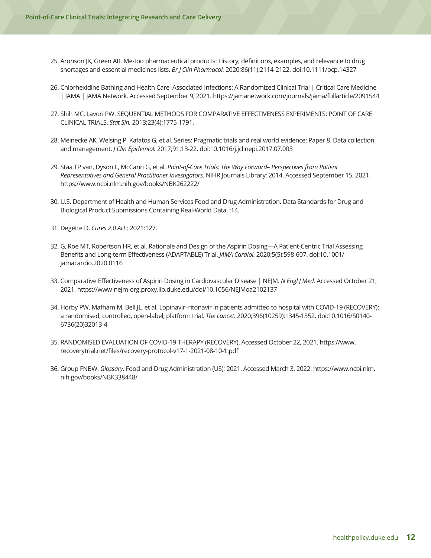- 25. Aronson JK, Green AR. Me-too pharmaceutical products: History, definitions, examples, and relevance to drug shortages and essential medicines lists. *Br J Clin Pharmacol.* 2020;86(11):2114-2122. doi:10.1111/bcp.14327
- 26. Chlorhexidine Bathing and Health Care–Associated Infections: A Randomized Clinical Trial | Critical Care Medicine | JAMA | JAMA Network. Accessed September 9, 2021. https://jamanetwork.com/journals/jama/fullarticle/2091544
- 27. Shih MC, Lavori PW. SEQUENTIAL METHODS FOR COMPARATIVE EFFECTIVENESS EXPERIMENTS: POINT OF CARE CLINICAL TRIALS. *Stat Sin.* 2013;23(4):1775-1791.
- 28. Meinecke AK, Welsing P, Kafatos G, et al. Series: Pragmatic trials and real world evidence: Paper 8. Data collection and management. *J Clin Epidemiol.* 2017;91:13-22. doi:10.1016/j.jclinepi.2017.07.003
- 29. Staa TP van, Dyson L, McCann G, et al. *Point-of-Care Trials: The Way Forward– Perspectives from Patient Representatives and General Practitioner Investigators.* NIHR Journals Library; 2014. Accessed September 15, 2021. https://www.ncbi.nlm.nih.gov/books/NBK262222/
- 30. U.S. Department of Health and Human Services Food and Drug Administration. Data Standards for Drug and Biological Product Submissions Containing Real-World Data. :14.
- 31. Degette D. *Cures 2.0 Act.;* 2021:127.
- 32. G, Roe MT, Robertson HR, et al. Rationale and Design of the Aspirin Dosing—A Patient-Centric Trial Assessing Benefits and Long-term Effectiveness (ADAPTABLE) Trial. *JAMA Cardiol.* 2020;5(5):598-607. doi:10.1001/ jamacardio.2020.0116
- 33. Comparative Effectiveness of Aspirin Dosing in Cardiovascular Disease | NEJM. *N Engl J Med.* Accessed October 21, 2021. https://www-nejm-org.proxy.lib.duke.edu/doi/10.1056/NEJMoa2102137
- 34. Horby PW, Mafham M, Bell JL, et al. Lopinavir–ritonavir in patients admitted to hospital with COVID-19 (RECOVERY): a randomised, controlled, open-label, platform trial. *The Lancet.* 2020;396(10259):1345-1352. doi:10.1016/S0140- 6736(20)32013-4
- 35. RANDOMISED EVALUATION OF COVID-19 THERAPY (RECOVERY). Accessed October 22, 2021. https://www. recoverytrial.net/files/recovery-protocol-v17-1-2021-08-10-1.pdf
- 36. Group FNBW. *Glossary.* Food and Drug Administration (US); 2021. Accessed March 3, 2022. https://www.ncbi.nlm. nih.gov/books/NBK338448/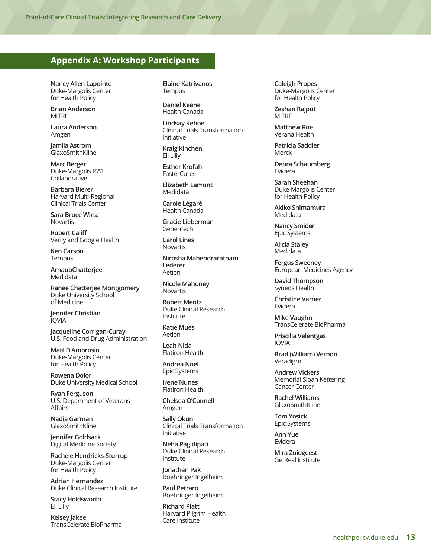#### <span id="page-17-0"></span>**Appendix A: Workshop Participants**

**Nancy Allen Lapointe** Duke-Margolis Center for Health Policy

**Brian Anderson** MITRE

**Laura Anderson** Amgen

**Jamila Astrom** GlaxoSmithKline

**Marc Berger** Duke-Margolis RWE Collaborative

**Barbara Bierer** Harvard Multi-Regional Clinical Trials Center

**Sara Bruce Wirta** Novartis

**Robert Califf**  Verily and Google Health

**Ken Carson Tempus** 

**ArnaubChatterjee** Medidata

**Ranee Chatterjee Montgomery** Duke University School of Medicine

**Jennifer Christian** IQVIA

**Jacqueline Corrigan-Curay** U.S. Food and Drug Administration

**Matt D'Ambrosio**  Duke-Margolis Center for Health Policy

**Rowena Dolor** Duke University Medical School

**Ryan Ferguson** U.S. Department of Veterans Affairs

**Nadia Garman** GlaxoSmithKline

**Jennifer Goldsack** Digital Medicine Society

**Rachele Hendricks-Sturrup**  Duke-Margolis Center for Health Policy

**Adrian Hernandez** Duke Clinical Research Institute

**Stacy Holdsworth** Eli Lilly

**Kelsey Jakee** TransCelerate BioPharma **Elaine Katrivanos Tempus** 

**Daniel Keene** Health Canada

**Lindsay Kehoe** Clinical Trials Transformation Initiative

**Kraig Kinchen** Eli Lilly

**Esther Krofah** FasterCures

**Elizabeth Lamont** Medidata

**Carole Légaré** Health Canada

**Gracie Lieberman** Genentech

**Carol Lines** Novartis

**Nirosha Mahendraratnam Lederer** Aetion

**Nicole Mahoney** Novartis

**Robert Mentz** Duke Clinical Research Institute

**Katie Mues** Aetion

**Leah Nida** Flatiron Health

**Andrea Noel** Epic Systems

**Irene Nunes** Flatiron Health

**Chelsea O'Connell** Amgen

**Sally Okun** Clinical Trials Transformation Initiative

**Neha Pagidipati** Duke Clinical Research Institute

**Jonathan Pak** Boehringer Ingelheim

**Paul Petraro** Boehringer Ingelheim

**Richard Platt** Harvard Pilgrim Health Care Institute

**Caleigh Propes** Duke-Margolis Center for Health Policy

**Zeshan Rajput** MITRE

**Matthew Roe** Verana Health

**Patricia Saddier** Merck

**Debra Schaumberg**  Evidera

**Sarah Sheehan** Duke-Margolis Center for Health Policy

**Akiko Shimamura** Medidata

**Nancy Smider** Epic Systems

**Alicia Staley** Medidata

**Fergus Sweeney** European Medicines Agency

**David Thompson** Syneos Health

**Christine Varner** Evidera

**Mike Vaughn** TransCelerate BioPharma

**Priscilla Velentgas** IQVIA

**Brad (William) Vernon** Veradigm

**Andrew Vickers** Memorial Sloan Kettering Cancer Center

**Rachel Williams** GlaxoSmithKline

**Tom Yosick** Epic Systems

**Ann Yue** Evidera

**Mira Zuidgeest** GetReal Institute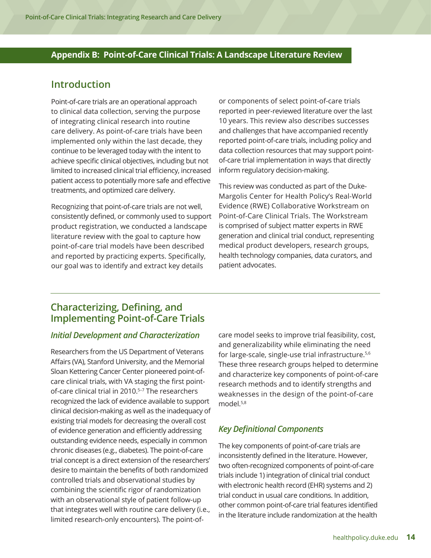### <span id="page-18-0"></span>**Appendix B: Point-of-Care Clinical Trials: A Landscape Literature Review**

# **Introduction**

Point-of-care trials are an operational approach to clinical data collection, serving the purpose of integrating clinical research into routine care delivery. As point-of-care trials have been implemented only within the last decade, they continue to be leveraged today with the intent to achieve specific clinical objectives, including but not limited to increased clinical trial efficiency, increased patient access to potentially more safe and effective treatments, and optimized care delivery.

Recognizing that point-of-care trials are not well, consistently defined, or commonly used to support product registration, we conducted a landscape literature review with the goal to capture how point-of-care trial models have been described and reported by practicing experts. Specifically, our goal was to identify and extract key details

or components of select point-of-care trials reported in peer-reviewed literature over the last 10 years. This review also describes successes and challenges that have accompanied recently reported point-of-care trials, including policy and data collection resources that may support pointof-care trial implementation in ways that directly inform regulatory decision-making.

This review was conducted as part of the Duke-Margolis Center for Health Policy's Real-World Evidence (RWE) Collaborative Workstream on Point-of-Care Clinical Trials. The Workstream is comprised of subject matter experts in RWE generation and clinical trial conduct, representing medical product developers, research groups, health technology companies, data curators, and patient advocates.

# **Characterizing, Defining, and Implementing Point-of-Care Trials**

#### *Initial Development and Characterization*

Researchers from the US Department of Veterans Affairs (VA), Stanford University, and the Memorial Sloan Kettering Cancer Center pioneered point-ofcare clinical trials, with VA staging the first pointof-care clinical trial in 2010.<sup>5-7</sup> The researchers recognized the lack of evidence available to support clinical decision-making as well as the inadequacy of existing trial models for decreasing the overall cost of evidence generation and efficiently addressing outstanding evidence needs, especially in common chronic diseases (e.g., diabetes). The point-of-care trial concept is a direct extension of the researchers' desire to maintain the benefits of both randomized controlled trials and observational studies by combining the scientific rigor of randomization with an observational style of patient follow-up that integrates well with routine care delivery (i.e., limited research-only encounters). The point-ofcare model seeks to improve trial feasibility, cost, and generalizability while eliminating the need for large-scale, single-use trial infrastructure.<sup>5,6</sup> These three research groups helped to determine and characterize key components of point-of-care research methods and to identify strengths and weaknesses in the design of the point-of-care model.5,8

#### *Key Definitional Components*

The key components of point-of-care trials are inconsistently defined in the literature. However, two often-recognized components of point-of-care trials include 1) integration of clinical trial conduct with electronic health record (EHR) systems and 2) trial conduct in usual care conditions. In addition, other common point-of-care trial features identified in the literature include randomization at the health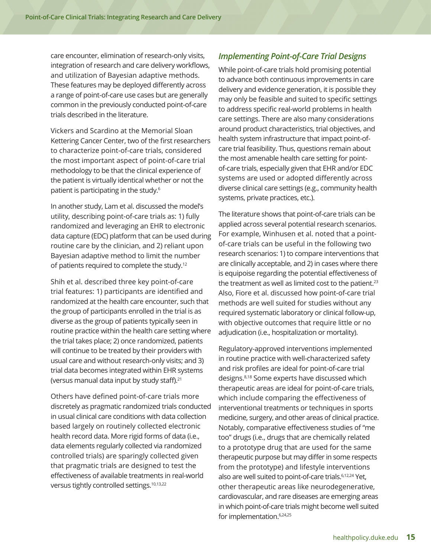care encounter, elimination of research-only visits, integration of research and care delivery workflows, and utilization of Bayesian adaptive methods. These features may be deployed differently across a range of point-of-care use cases but are generally common in the previously conducted point-of-care trials described in the literature.

Vickers and Scardino at the Memorial Sloan Kettering Cancer Center, two of the first researchers to characterize point-of-care trials, considered the most important aspect of point-of-care trial methodology to be that the clinical experience of the patient is virtually identical whether or not the patient is participating in the study.6

In another study, Lam et al. discussed the model's utility, describing point-of-care trials as: 1) fully randomized and leveraging an EHR to electronic data capture (EDC) platform that can be used during routine care by the clinician, and 2) reliant upon Bayesian adaptive method to limit the number of patients required to complete the study.12

Shih et al. described three key point-of-care trial features: 1) participants are identified and randomized at the health care encounter, such that the group of participants enrolled in the trial is as diverse as the group of patients typically seen in routine practice within the health care setting where the trial takes place; 2) once randomized, patients will continue to be treated by their providers with usual care and without research-only visits; and 3) trial data becomes integrated within EHR systems (versus manual data input by study staff).<sup>21</sup>

Others have defined point-of-care trials more discretely as pragmatic randomized trials conducted in usual clinical care conditions with data collection based largely on routinely collected electronic health record data. More rigid forms of data (i.e., data elements regularly collected via randomized controlled trials) are sparingly collected given that pragmatic trials are designed to test the effectiveness of available treatments in real-world versus tightly controlled settings.10,13,22

# *Implementing Point-of-Care Trial Designs*

While point-of-care trials hold promising potential to advance both continuous improvements in care delivery and evidence generation, it is possible they may only be feasible and suited to specific settings to address specific real-world problems in health care settings. There are also many considerations around product characteristics, trial objectives, and health system infrastructure that impact point-ofcare trial feasibility. Thus, questions remain about the most amenable health care setting for pointof-care trials, especially given that EHR and/or EDC systems are used or adopted differently across diverse clinical care settings (e.g., community health systems, private practices, etc.).

The literature shows that point-of-care trials can be applied across several potential research scenarios. For example, Winhusen et al. noted that a pointof-care trials can be useful in the following two research scenarios: 1) to compare interventions that are clinically acceptable, and 2) in cases where there is equipoise regarding the potential effectiveness of the treatment as well as limited cost to the patient.<sup>23</sup> Also, Fiore et al. discussed how point-of-care trial methods are well suited for studies without any required systematic laboratory or clinical follow-up, with objective outcomes that require little or no adjudication (i.e., hospitalization or mortality).

Regulatory-approved interventions implemented in routine practice with well-characterized safety and risk profiles are ideal for point-of-care trial designs.8,18 Some experts have discussed which therapeutic areas are ideal for point-of-care trials, which include comparing the effectiveness of interventional treatments or techniques in sports medicine, surgery, and other areas of clinical practice. Notably, comparative effectiveness studies of "me too" drugs (i.e., drugs that are chemically related to a prototype drug that are used for the same therapeutic purpose but may differ in some respects from the prototype) and lifestyle interventions also are well suited to point-of-care trials.<sup>6,12,24</sup> Yet, other therapeutic areas like neurodegenerative, cardiovascular, and rare diseases are emerging areas in which point-of-care trials might become well suited for implementation.6,24,25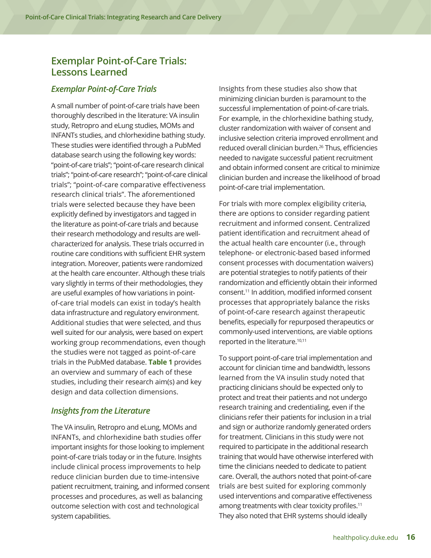# **Exemplar Point-of-Care Trials: Lessons Learned**

#### *Exemplar Point-of-Care Trials*

A small number of point-of-care trials have been thoroughly described in the literature: VA insulin study, Retropro and eLung studies, MOMs and INFANTs studies, and chlorhexidine bathing study. These studies were identified through a PubMed database search using the following key words: "point-of-care trials"; "point-of-care research clinical trials"; "point-of-care research"; "point-of-care clinical trials"; "point-of-care comparative effectiveness research clinical trials". The aforementioned trials were selected because they have been explicitly defined by investigators and tagged in the literature as point-of-care trials and because their research methodology and results are wellcharacterized for analysis. These trials occurred in routine care conditions with sufficient EHR system integration. Moreover, patients were randomized at the health care encounter. Although these trials vary slightly in terms of their methodologies, they are useful examples of how variations in pointof-care trial models can exist in today's health data infrastructure and regulatory environment. Additional studies that were selected, and thus well suited for our analysis, were based on expert working group recommendations, even though the studies were not tagged as point-of-care trials in the PubMed database. **Table 1** provides an overview and summary of each of these studies, including their research aim(s) and key design and data collection dimensions.

#### *Insights from the Literature*

The VA insulin, Retropro and eLung, MOMs and INFANTs, and chlorhexidine bath studies offer important insights for those looking to implement point-of-care trials today or in the future. Insights include clinical process improvements to help reduce clinician burden due to time-intensive patient recruitment, training, and informed consent processes and procedures, as well as balancing outcome selection with cost and technological system capabilities.

Insights from these studies also show that minimizing clinician burden is paramount to the successful implementation of point-of-care trials. For example, in the chlorhexidine bathing study, cluster randomization with waiver of consent and inclusive selection criteria improved enrollment and reduced overall clinician burden.<sup>26</sup> Thus, efficiencies needed to navigate successful patient recruitment and obtain informed consent are critical to minimize clinician burden and increase the likelihood of broad point-of-care trial implementation.

For trials with more complex eligibility criteria, there are options to consider regarding patient recruitment and informed consent. Centralized patient identification and recruitment ahead of the actual health care encounter (i.e., through telephone- or electronic-based based informed consent processes with documentation waivers) are potential strategies to notify patients of their randomization and efficiently obtain their informed consent.11 In addition, modified informed consent processes that appropriately balance the risks of point-of-care research against therapeutic benefits, especially for repurposed therapeutics or commonly-used interventions, are viable options reported in the literature.<sup>10,11</sup>

To support point-of-care trial implementation and account for clinician time and bandwidth, lessons learned from the VA insulin study noted that practicing clinicians should be expected only to protect and treat their patients and not undergo research training and credentialing, even if the clinicians refer their patients for inclusion in a trial and sign or authorize randomly generated orders for treatment. Clinicians in this study were not required to participate in the additional research training that would have otherwise interfered with time the clinicians needed to dedicate to patient care. Overall, the authors noted that point-of-care trials are best suited for exploring commonly used interventions and comparative effectiveness among treatments with clear toxicity profiles.<sup>11</sup> They also noted that EHR systems should ideally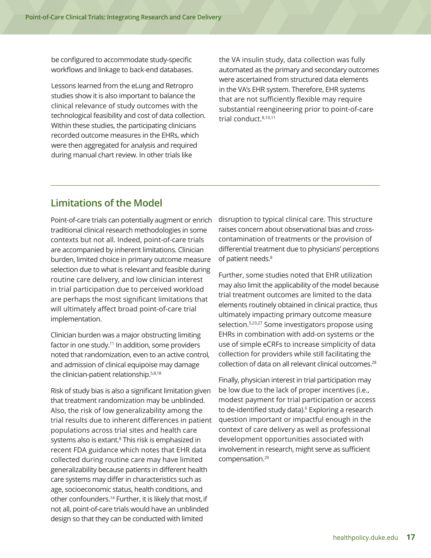be configured to accommodate study-specific workflows and linkage to back-end databases.

Lessons learned from the eLung and Retropro studies show it is also important to balance the clinical relevance of study outcomes with the technological feasibility and cost of data collection. Within these studies, the participating clinicians recorded outcome measures in the EHRs, which were then aggregated for analysis and required during manual chart review. In other trials like

the VA insulin study, data collection was fully automated as the primary and secondary outcomes were ascertained from structured data elements in the VA's EHR system. Therefore, EHR systems that are not sufficiently flexible may require substantial reengineering prior to point-of-care trial conduct.8,10,11

# **Limitations of the Model**

Point-of-care trials can potentially augment or enrich traditional clinical research methodologies in some contexts but not all. Indeed, point-of-care trials are accompanied by inherent limitations. Clinician burden, limited choice in primary outcome measure selection due to what is relevant and feasible during routine care delivery, and low clinician interest in trial participation due to perceived workload are perhaps the most significant limitations that will ultimately affect broad point-of-care trial implementation.

Clinician burden was a major obstructing limiting factor in one study.<sup>11</sup> In addition, some providers noted that randomization, even to an active control, and admission of clinical equipoise may damage the clinician-patient relationship.5,8,18

Risk of study bias is also a significant limitation given that treatment randomization may be unblinded. Also, the risk of low generalizability among the trial results due to inherent differences in patient populations across trial sites and health care systems also is extant.<sup>8</sup> This risk is emphasized in recent FDA guidance which notes that EHR data collected during routine care may have limited generalizability because patients in different health care systems may differ in characteristics such as age, socioeconomic status, health conditions, and other confounders.14 Further, it is likely that most, if not all, point-of-care trials would have an unblinded design so that they can be conducted with limited

disruption to typical clinical care. This structure raises concern about observational bias and crosscontamination of treatments or the provision of differential treatment due to physicians' perceptions of patient needs.<sup>8</sup>

Further, some studies noted that EHR utilization may also limit the applicability of the model because trial treatment outcomes are limited to the data elements routinely obtained in clinical practice, thus ultimately impacting primary outcome measure selection.5,23,27 Some investigators propose using EHRs in combination with add-on systems or the use of simple eCRFs to increase simplicity of data collection for providers while still facilitating the collection of data on all relevant clinical outcomes.<sup>28</sup>

Finally, physician interest in trial participation may be low due to the lack of proper incentives (i.e., modest payment for trial participation or access to de-identified study data).<sup>6</sup> Exploring a research question important or impactful enough in the context of care delivery as well as professional development opportunities associated with involvement in research, might serve as sufficient compensation.29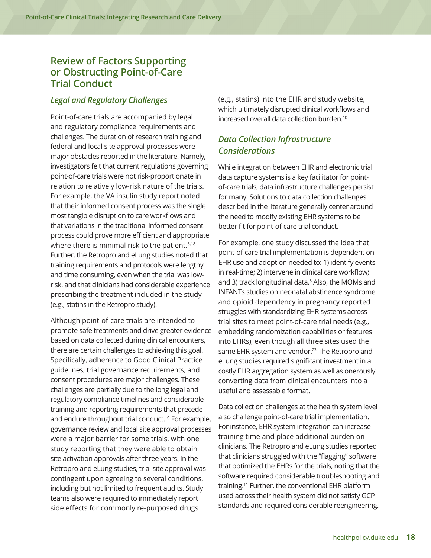# **Review of Factors Supporting or Obstructing Point-of-Care Trial Conduct**

#### *Legal and Regulatory Challenges*

Point-of-care trials are accompanied by legal and regulatory compliance requirements and challenges. The duration of research training and federal and local site approval processes were major obstacles reported in the literature. Namely, investigators felt that current regulations governing point-of-care trials were not risk-proportionate in relation to relatively low-risk nature of the trials. For example, the VA insulin study report noted that their informed consent process was the single most tangible disruption to care workflows and that variations in the traditional informed consent process could prove more efficient and appropriate where there is minimal risk to the patient.<sup>8,18</sup> Further, the Retropro and eLung studies noted that training requirements and protocols were lengthy and time consuming, even when the trial was lowrisk, and that clinicians had considerable experience prescribing the treatment included in the study (e.g., statins in the Retropro study).

Although point-of-care trials are intended to promote safe treatments and drive greater evidence based on data collected during clinical encounters, there are certain challenges to achieving this goal. Specifically, adherence to Good Clinical Practice guidelines, trial governance requirements, and consent procedures are major challenges. These challenges are partially due to the long legal and regulatory compliance timelines and considerable training and reporting requirements that precede and endure throughout trial conduct.<sup>10</sup> For example, governance review and local site approval processes were a major barrier for some trials, with one study reporting that they were able to obtain site activation approvals after three years. In the Retropro and eLung studies, trial site approval was contingent upon agreeing to several conditions, including but not limited to frequent audits. Study teams also were required to immediately report side effects for commonly re-purposed drugs

(e.g., statins) into the EHR and study website, which ultimately disrupted clinical workflows and increased overall data collection burden.10

### *Data Collection Infrastructure Considerations*

While integration between EHR and electronic trial data capture systems is a key facilitator for pointof-care trials, data infrastructure challenges persist for many. Solutions to data collection challenges described in the literature generally center around the need to modify existing EHR systems to be better fit for point-of-care trial conduct.

For example, one study discussed the idea that point-of-care trial implementation is dependent on EHR use and adoption needed to: 1) identify events in real-time; 2) intervene in clinical care workflow; and 3) track longitudinal data.<sup>8</sup> Also, the MOMs and INFANTs studies on neonatal abstinence syndrome and opioid dependency in pregnancy reported struggles with standardizing EHR systems across trial sites to meet point-of-care trial needs (e.g., embedding randomization capabilities or features into EHRs), even though all three sites used the same EHR system and vendor.<sup>23</sup> The Retropro and eLung studies required significant investment in a costly EHR aggregation system as well as onerously converting data from clinical encounters into a useful and assessable format.

Data collection challenges at the health system level also challenge point-of-care trial implementation. For instance, EHR system integration can increase training time and place additional burden on clinicians. The Retropro and eLung studies reported that clinicians struggled with the "flagging" software that optimized the EHRs for the trials, noting that the software required considerable troubleshooting and training.11 Further, the conventional EHR platform used across their health system did not satisfy GCP standards and required considerable reengineering.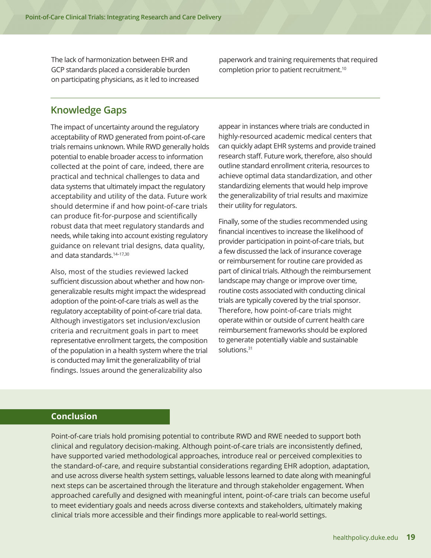The lack of harmonization between EHR and GCP standards placed a considerable burden on participating physicians, as it led to increased paperwork and training requirements that required completion prior to patient recruitment.10

# **Knowledge Gaps**

The impact of uncertainty around the regulatory acceptability of RWD generated from point-of-care trials remains unknown. While RWD generally holds potential to enable broader access to information collected at the point of care, indeed, there are practical and technical challenges to data and data systems that ultimately impact the regulatory acceptability and utility of the data. Future work should determine if and how point-of-care trials can produce fit-for-purpose and scientifically robust data that meet regulatory standards and needs, while taking into account existing regulatory guidance on relevant trial designs, data quality, and data standards.14–17,30

Also, most of the studies reviewed lacked sufficient discussion about whether and how nongeneralizable results might impact the widespread adoption of the point-of-care trials as well as the regulatory acceptability of point-of-care trial data. Although investigators set inclusion/exclusion criteria and recruitment goals in part to meet representative enrollment targets, the composition of the population in a health system where the trial is conducted may limit the generalizability of trial findings. Issues around the generalizability also

appear in instances where trials are conducted in highly-resourced academic medical centers that can quickly adapt EHR systems and provide trained research staff. Future work, therefore, also should outline standard enrollment criteria, resources to achieve optimal data standardization, and other standardizing elements that would help improve the generalizability of trial results and maximize their utility for regulators.

Finally, some of the studies recommended using financial incentives to increase the likelihood of provider participation in point-of-care trials, but a few discussed the lack of insurance coverage or reimbursement for routine care provided as part of clinical trials. Although the reimbursement landscape may change or improve over time, routine costs associated with conducting clinical trials are typically covered by the trial sponsor. Therefore, how point-of-care trials might operate within or outside of current health care reimbursement frameworks should be explored to generate potentially viable and sustainable solutions.<sup>31</sup>

#### **Conclusion**

Point-of-care trials hold promising potential to contribute RWD and RWE needed to support both clinical and regulatory decision-making. Although point-of-care trials are inconsistently defined, have supported varied methodological approaches, introduce real or perceived complexities to the standard-of-care, and require substantial considerations regarding EHR adoption, adaptation, and use across diverse health system settings, valuable lessons learned to date along with meaningful next steps can be ascertained through the literature and through stakeholder engagement. When approached carefully and designed with meaningful intent, point-of-care trials can become useful to meet evidentiary goals and needs across diverse contexts and stakeholders, ultimately making clinical trials more accessible and their findings more applicable to real-world settings.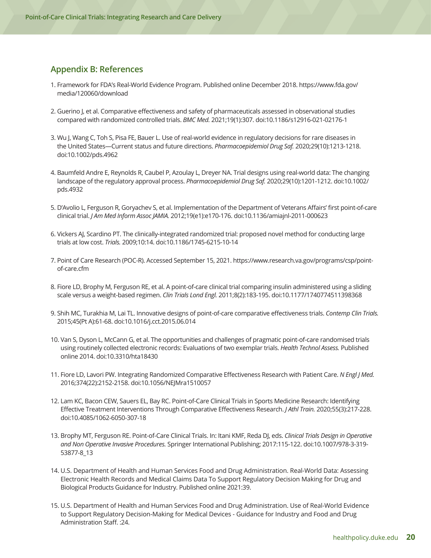## **Appendix B: References**

- 1. Framework for FDA's Real-World Evidence Program. Published online December 2018. https://www.fda.gov/ media/120060/download
- 2. Guerino J, et al. Comparative effectiveness and safety of pharmaceuticals assessed in observational studies compared with randomized controlled trials. *BMC Med.* 2021;19(1):307. doi:10.1186/s12916-021-02176-1
- 3. Wu J, Wang C, Toh S, Pisa FE, Bauer L. Use of real-world evidence in regulatory decisions for rare diseases in the United States—Current status and future directions. *Pharmacoepidemiol Drug Saf.* 2020;29(10):1213-1218. doi:10.1002/pds.4962
- 4. Baumfeld Andre E, Reynolds R, Caubel P, Azoulay L, Dreyer NA. Trial designs using real-world data: The changing landscape of the regulatory approval process. *Pharmacoepidemiol Drug Saf.* 2020;29(10):1201-1212. doi:10.1002/ pds.4932
- 5. D'Avolio L, Ferguson R, Goryachev S, et al. Implementation of the Department of Veterans Affairs' first point-of-care clinical trial. *J Am Med Inform Assoc JAMIA.* 2012;19(e1):e170-176. doi:10.1136/amiajnl-2011-000623
- 6. Vickers AJ, Scardino PT. The clinically-integrated randomized trial: proposed novel method for conducting large trials at low cost. *Trials.* 2009;10:14. doi:10.1186/1745-6215-10-14
- 7. Point of Care Research (POC-R). Accessed September 15, 2021. https://www.research.va.gov/programs/csp/pointof-care.cfm
- 8. Fiore LD, Brophy M, Ferguson RE, et al. A point-of-care clinical trial comparing insulin administered using a sliding scale versus a weight-based regimen. *Clin Trials Lond Engl.* 2011;8(2):183-195. doi:10.1177/1740774511398368
- 9. Shih MC, Turakhia M, Lai TL. Innovative designs of point-of-care comparative effectiveness trials. *Contemp Clin Trials.* 2015;45(Pt A):61-68. doi:10.1016/j.cct.2015.06.014
- 10. Van S, Dyson L, McCann G, et al. The opportunities and challenges of pragmatic point-of-care randomised trials using routinely collected electronic records: Evaluations of two exemplar trials. *Health Technol Assess.* Published online 2014. doi:10.3310/hta18430
- 11. Fiore LD, Lavori PW. Integrating Randomized Comparative Effectiveness Research with Patient Care. *N Engl J Med.*  2016;374(22):2152-2158. doi:10.1056/NEJMra1510057
- 12. Lam KC, Bacon CEW, Sauers EL, Bay RC. Point-of-Care Clinical Trials in Sports Medicine Research: Identifying Effective Treatment Interventions Through Comparative Effectiveness Research. *J Athl Train.* 2020;55(3):217-228. doi:10.4085/1062-6050-307-18
- 13. Brophy MT, Ferguson RE. Point-of-Care Clinical Trials. In: Itani KMF, Reda DJ, eds. *Clinical Trials Design in Operative and Non Operative Invasive Procedures.* Springer International Publishing; 2017:115-122. doi:10.1007/978-3-319- 53877-8\_13
- 14. U.S. Department of Health and Human Services Food and Drug Administration. Real-World Data: Assessing Electronic Health Records and Medical Claims Data To Support Regulatory Decision Making for Drug and Biological Products Guidance for Industry. Published online 2021:39.
- 15. U.S. Department of Health and Human Services Food and Drug Administration. Use of Real-World Evidence to Support Regulatory Decision-Making for Medical Devices - Guidance for Industry and Food and Drug Administration Staff. :24.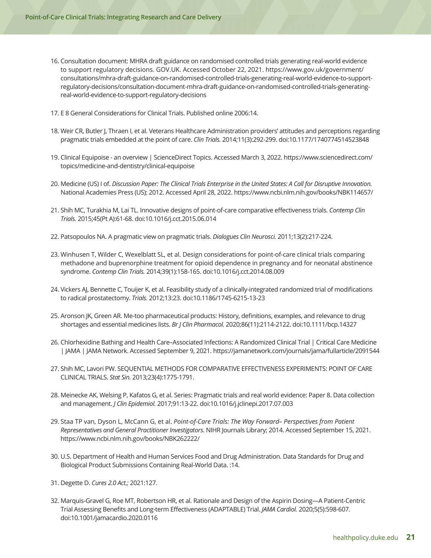- 16. Consultation document: MHRA draft guidance on randomised controlled trials generating real-world evidence to support regulatory decisions. GOV.UK. Accessed October 22, 2021. https://www.gov.uk/government/ consultations/mhra-draft-guidance-on-randomised-controlled-trials-generating-real-world-evidence-to-supportregulatory-decisions/consultation-document-mhra-draft-guidance-on-randomised-controlled-trials-generatingreal-world-evidence-to-support-regulatory-decisions
- 17. E 8 General Considerations for Clinical Trials. Published online 2006:14.
- 18. Weir CR, Butler J, Thraen I, et al. Veterans Healthcare Administration providers' attitudes and perceptions regarding pragmatic trials embedded at the point of care. *Clin Trials.* 2014;11(3):292-299. doi:10.1177/1740774514523848
- 19. Clinical Equipoise an overview | ScienceDirect Topics. Accessed March 3, 2022. https://www.sciencedirect.com/ topics/medicine-and-dentistry/clinical-equipoise
- 20. Medicine (US) I of. *Discussion Paper: The Clinical Trials Enterprise in the United States: A Call for Disruptive Innovation.*  National Academies Press (US); 2012. Accessed April 28, 2022. https://www.ncbi.nlm.nih.gov/books/NBK114657/
- 21. Shih MC, Turakhia M, Lai TL. Innovative designs of point-of-care comparative effectiveness trials. *Contemp Clin Trials.* 2015;45(Pt A):61-68. doi:10.1016/j.cct.2015.06.014
- 22. Patsopoulos NA. A pragmatic view on pragmatic trials. *Dialogues Clin Neurosci.* 2011;13(2):217-224.
- 23. Winhusen T, Wilder C, Wexelblatt SL, et al. Design considerations for point-of-care clinical trials comparing methadone and buprenorphine treatment for opioid dependence in pregnancy and for neonatal abstinence syndrome. *Contemp Clin Trials.* 2014;39(1):158-165. doi:10.1016/j.cct.2014.08.009
- 24. Vickers AJ, Bennette C, Touijer K, et al. Feasibility study of a clinically-integrated randomized trial of modifications to radical prostatectomy. *Trials.* 2012;13:23. doi:10.1186/1745-6215-13-23
- 25. Aronson JK, Green AR. Me-too pharmaceutical products: History, definitions, examples, and relevance to drug shortages and essential medicines lists. *Br J Clin Pharmacol.* 2020;86(11):2114-2122. doi:10.1111/bcp.14327
- 26. Chlorhexidine Bathing and Health Care–Associated Infections: A Randomized Clinical Trial | Critical Care Medicine | JAMA | JAMA Network. Accessed September 9, 2021. https://jamanetwork.com/journals/jama/fullarticle/2091544
- 27. Shih MC, Lavori PW. SEQUENTIAL METHODS FOR COMPARATIVE EFFECTIVENESS EXPERIMENTS: POINT OF CARE CLINICAL TRIALS. *Stat Sin.* 2013;23(4):1775-1791.
- 28. Meinecke AK, Welsing P, Kafatos G, et al. Series: Pragmatic trials and real world evidence: Paper 8. Data collection and management. *J Clin Epidemiol.* 2017;91:13-22. doi:10.1016/j.jclinepi.2017.07.003
- 29. Staa TP van, Dyson L, McCann G, et al. *Point-of-Care Trials: The Way Forward– Perspectives from Patient Representatives and General Practitioner Investigators.* NIHR Journals Library; 2014. Accessed September 15, 2021. https://www.ncbi.nlm.nih.gov/books/NBK262222/
- 30. U.S. Department of Health and Human Services Food and Drug Administration. Data Standards for Drug and Biological Product Submissions Containing Real-World Data. :14.
- 31. Degette D. *Cures 2.0 Act.;* 2021:127.
- 32. Marquis-Gravel G, Roe MT, Robertson HR, et al. Rationale and Design of the Aspirin Dosing—A Patient-Centric Trial Assessing Benefits and Long-term Effectiveness (ADAPTABLE) Trial. *JAMA Cardiol.* 2020;5(5):598-607. doi:10.1001/jamacardio.2020.0116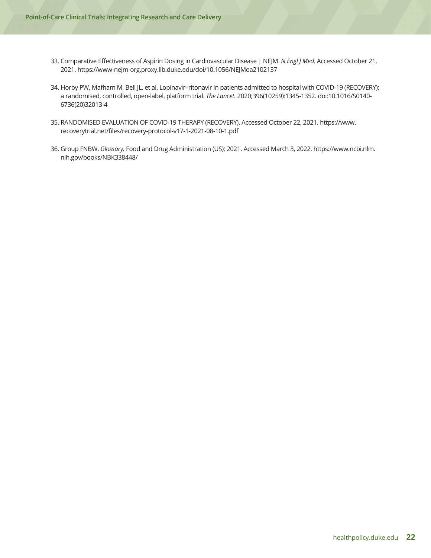- 33. Comparative Effectiveness of Aspirin Dosing in Cardiovascular Disease | NEJM. *N Engl J Med.* Accessed October 21, 2021. https://www-nejm-org.proxy.lib.duke.edu/doi/10.1056/NEJMoa2102137
- 34. Horby PW, Mafham M, Bell JL, et al. Lopinavir–ritonavir in patients admitted to hospital with COVID-19 (RECOVERY): a randomised, controlled, open-label, platform trial. *The Lancet.* 2020;396(10259):1345-1352. doi:10.1016/S0140- 6736(20)32013-4
- 35. RANDOMISED EVALUATION OF COVID-19 THERAPY (RECOVERY). Accessed October 22, 2021. https://www. recoverytrial.net/files/recovery-protocol-v17-1-2021-08-10-1.pdf
- 36. Group FNBW. *Glossary.* Food and Drug Administration (US); 2021. Accessed March 3, 2022. https://www.ncbi.nlm. nih.gov/books/NBK338448/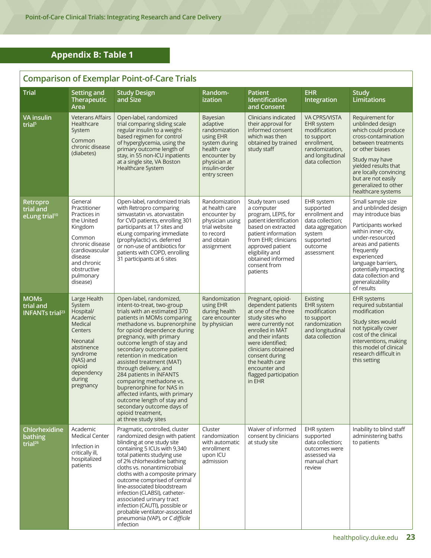# **Appendix B: Table 1**

# **Comparison of Exemplar Point-of-Care Trials**

| <b>Trial</b>                                                  | Setting and<br>Therapeutic<br>Area                                                                                                                                                 | <b>Study Design</b><br>and Size                                                                                                                                                                                                                                                                                                                                                                                                                                                                                                                                                      | Random-<br>ization                                                                                                                                  | <b>Patient</b><br>Identification<br>and Consent                                                                                                                                                                                                                                     | <b>EHR</b><br>Integration                                                                                                                | <b>Study</b><br><b>Limitations</b>                                                                                                                                                                                                                                                         |
|---------------------------------------------------------------|------------------------------------------------------------------------------------------------------------------------------------------------------------------------------------|--------------------------------------------------------------------------------------------------------------------------------------------------------------------------------------------------------------------------------------------------------------------------------------------------------------------------------------------------------------------------------------------------------------------------------------------------------------------------------------------------------------------------------------------------------------------------------------|-----------------------------------------------------------------------------------------------------------------------------------------------------|-------------------------------------------------------------------------------------------------------------------------------------------------------------------------------------------------------------------------------------------------------------------------------------|------------------------------------------------------------------------------------------------------------------------------------------|--------------------------------------------------------------------------------------------------------------------------------------------------------------------------------------------------------------------------------------------------------------------------------------------|
| <b>VA</b> insulin<br>trial <sup>5</sup>                       | <b>Veterans Affairs</b><br>Healthcare<br>System<br>Common<br>chronic disease<br>(diabetes)                                                                                         | Open-label, randomized<br>trial comparing sliding scale<br>regular insulin to a weight-<br>based regimen for control<br>of hyperglycemia, using the<br>primary outcome length of<br>stay, in 55 non-ICU inpatients<br>at a single site, VA Boston<br>Healthcare System                                                                                                                                                                                                                                                                                                               | Bayesian<br>adaptive<br>randomization<br>using EHR<br>system during<br>health care<br>encounter by<br>physician at<br>insulin-order<br>entry screen | Clinicians indicated<br>their approval for<br>informed consent<br>which was then<br>obtained by trained<br>study staff                                                                                                                                                              | <b>VA CPRS/VISTA</b><br>EHR system<br>modification<br>to support<br>enrollment,<br>randomization,<br>and longitudinal<br>data collection | Requirement for<br>unblinded design<br>which could produce<br>cross-contamination<br>between treatments<br>or other biases<br>Study may have<br>yielded results that<br>are locally convincing<br>but are not easily<br>generalized to other<br>healthcare systems                         |
| Retropro<br>trial and<br>eLung trial <sup>10</sup>            | General<br>Practitioner<br>Practices in<br>the United<br>Kingdom<br>Common<br>chronic disease<br>(cardiovascular<br>disease<br>and chronic<br>obstructive<br>pulmonary<br>disease) | Open-label, randomized trials<br>with Retropro comparing<br>simvastatin vs. atorvastatin<br>for CVD patients, enrolling 301<br>participants at 17 sites and<br>eLung comparing immediate<br>(prophylactic) vs. deferred<br>or non-use of antibiotics for<br>patients with COPD, enrolling<br>31 participants at 6 sites                                                                                                                                                                                                                                                              | Randomization<br>at health care<br>encounter by<br>physician using<br>trial website<br>to record<br>and obtain<br>assignment                        | Study team used<br>a computer<br>program, LEPIS, for<br>patient identification<br>based on extracted<br>patient information<br>from EHR; clinicians<br>approved patient<br>eligibility and<br>obtained informed<br>consent from<br>patients                                         | EHR system<br>supported<br>enrollment and<br>data collection:<br>data aggregation<br>system<br>supported<br>outcome<br>assessment        | Small sample size<br>and unblinded design<br>may introduce bias<br>Participants worked<br>within inner-city,<br>under-resourced<br>areas and patients<br>frequently<br>experienced<br>language barriers,<br>potentially impacting<br>data collection and<br>generalizability<br>of results |
| <b>MOMs</b><br>trial and<br><b>INFANTs trial<sup>23</sup></b> | Large Health<br>System<br>Hospital/<br>Academic<br>Medical<br>Centers<br>Neonatal<br>abstinence<br>syndrome<br>(NAS) and<br>opioid<br>dependency<br>during<br>pregnancy            | Open-label, randomized,<br>intent-to-treat, two-group<br>trials with an estimated 370<br>patients in MOMs comparing<br>methadone vs. buprenorphine<br>for opioid dependence during<br>pregnancy, with primary<br>outcome length of stay and<br>secondary outcome patient<br>retention in medication<br>assisted treatment (MAT)<br>through delivery, and<br>284 patients in INFANTS<br>comparing methadone vs.<br>buprenorphine for NAS in<br>affected infants, with primary<br>outcome length of stay and<br>secondary outcome days of<br>opioid treatment,<br>at three study sites | Randomization<br>using EHR<br>during health<br>care encounter<br>by physician                                                                       | Pregnant, opioid-<br>dependent patients<br>at one of the three<br>study sites who<br>were currently not<br>enrolled in MAT<br>and their infants<br>were identified;<br>clinicians obtained<br>consent during<br>the health care<br>encounter and<br>flagged participation<br>in EHR | <b>Existing</b><br><b>EHR</b> system<br>modification<br>to support<br>randomization<br>and longitudinal<br>data collection               | <b>EHR</b> systems<br>required substantial<br>modification<br>Study sites would<br>not typically cover<br>cost of the clinical<br>interventions, making<br>this model of clinical<br>research difficult in<br>this setting                                                                 |
| Chlorhexidine<br>bathing<br>trial <sup>26</sup>               | Academic<br><b>Medical Center</b><br>Infection in<br>critically ill,<br>hospitalized<br>patients                                                                                   | Pragmatic, controlled, cluster<br>randomized design with patient<br>blinding at one study site<br>containing 5 ICUs with 9,340<br>total patients studying use<br>of 2% chlorhexidine bathing<br>cloths vs. nonantimicrobial<br>cloths with a composite primary<br>outcome comprised of central<br>line-associated bloodstream<br>infection (CLABSI), catheter-<br>associated urinary tract<br>infection (CAUTI), possible or<br>probable ventilator-associated<br>pneumonia (VAP), or C difficile<br>infection                                                                       | Cluster<br>randomization<br>with automatic<br>enrollment<br>upon ICU<br>admission                                                                   | Waiver of informed<br>consent by clinicians<br>at study site                                                                                                                                                                                                                        | EHR system<br>supported<br>data collection;<br>outcomes were<br>assessed via<br>manual chart<br>review                                   | Inability to blind staff<br>administering baths<br>to patients                                                                                                                                                                                                                             |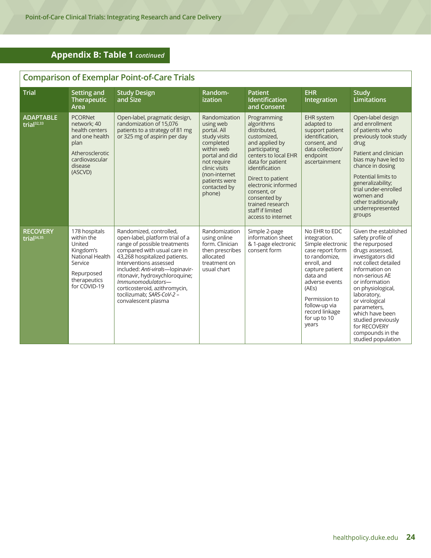# **Appendix B: Table 1** *continued*

# **Comparison of Exemplar Point-of-Care Trials**

| <b>Trial</b>                               | Setting and<br><b>Therapeutic</b><br>Area                                                                                            | <b>Study Design</b><br>and Size                                                                                                                                                                                                                                                                                                                                      | Random-<br>ization                                                                                                                                                                                 | <b>Patient</b><br>Identification<br>and Consent                                                                                                                                                                                                                                                    | <b>EHR</b><br>Integration                                                                                                                                                                                                                     | <b>Study</b><br>Limitations                                                                                                                                                                                                                                                                                                                                |
|--------------------------------------------|--------------------------------------------------------------------------------------------------------------------------------------|----------------------------------------------------------------------------------------------------------------------------------------------------------------------------------------------------------------------------------------------------------------------------------------------------------------------------------------------------------------------|----------------------------------------------------------------------------------------------------------------------------------------------------------------------------------------------------|----------------------------------------------------------------------------------------------------------------------------------------------------------------------------------------------------------------------------------------------------------------------------------------------------|-----------------------------------------------------------------------------------------------------------------------------------------------------------------------------------------------------------------------------------------------|------------------------------------------------------------------------------------------------------------------------------------------------------------------------------------------------------------------------------------------------------------------------------------------------------------------------------------------------------------|
| <b>ADAPTABLE</b><br>trial <sup>32,33</sup> | <b>PCORNet</b><br>network; 40<br>health centers<br>and one health<br>plan<br>Atherosclerotic<br>cardiovascular<br>disease<br>(ASCVD) | Open-label, pragmatic design,<br>randomization of 15,076<br>patients to a strategy of 81 mg<br>or 325 mg of aspirin per day                                                                                                                                                                                                                                          | Randomization<br>using web<br>portal. All<br>study visits<br>completed<br>within web<br>portal and did<br>not require<br>clinic visits<br>(non-internet<br>patients were<br>contacted by<br>phone) | Programming<br>algorithms<br>distributed,<br>customized.<br>and applied by<br>participating<br>centers to local EHR<br>data for patient<br>identification<br>Direct to patient<br>electronic informed<br>consent, or<br>consented by<br>trained research<br>staff if limited<br>access to internet | <b>EHR system</b><br>adapted to<br>support patient<br>identification,<br>consent, and<br>data collection/<br>endpoint<br>ascertainment                                                                                                        | Open-label design<br>and enrollment<br>of patients who<br>previously took study<br>drug<br>Patient and clinician<br>bias may have led to<br>chance in dosing<br>Potential limits to<br>generalizability;<br>trial under-enrolled<br>women and<br>other traditionally<br>underrepresented<br>groups                                                         |
| <b>RECOVERY</b><br>trial $34,35$           | 178 hospitals<br>within the<br>United<br>Kingdom's<br>National Health<br>Service<br>Repurposed<br>therapeutics<br>for COVID-19       | Randomized, controlled,<br>open-label, platform trial of a<br>range of possible treatments<br>compared with usual care in<br>43,268 hospitalized patients.<br>Interventions assessed<br>included: Anti-virals-lopinavir-<br>ritonavir, hydroxychloroquine;<br>Immunomodulators-<br>corticosteroid, azithromycin,<br>tocilizumab: SARS-CoV-2 -<br>convalescent plasma | Randomization<br>using online<br>form. Clinician<br>then prescribes<br>allocated<br>treatment on<br>usual chart                                                                                    | Simple 2-page<br>information sheet<br>& 1-page electronic<br>consent form                                                                                                                                                                                                                          | No EHR to EDC<br>integration.<br>Simple electronic<br>case report form<br>to randomize.<br>enroll, and<br>capture patient<br>data and<br>adverse events<br>(AEs)<br>Permission to<br>follow-up via<br>record linkage<br>for up to 10<br>years | Given the established<br>safety profile of<br>the repurposed<br>drugs assessed,<br>investigators did<br>not collect detailed<br>information on<br>non-serious AE<br>or information<br>on physiological,<br>laboratory,<br>or virological<br>parameters,<br>which have been<br>studied previously<br>for RECOVERY<br>compounds in the<br>studied population |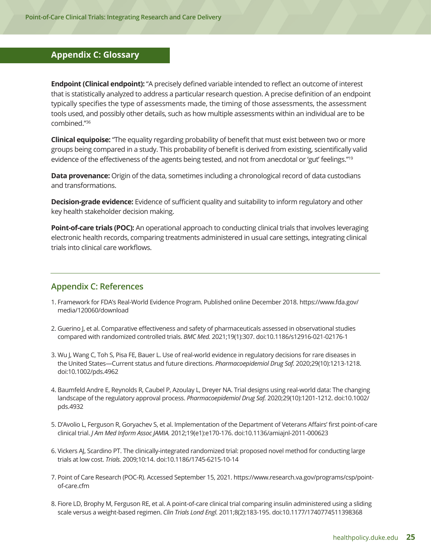### <span id="page-29-0"></span>**Appendix C: Glossary**

**Endpoint (Clinical endpoint):** "A precisely defined variable intended to reflect an outcome of interest that is statistically analyzed to address a particular research question. A precise definition of an endpoint typically specifies the type of assessments made, the timing of those assessments, the assessment tools used, and possibly other details, such as how multiple assessments within an individual are to be combined."36

**Clinical equipoise:** "The equality regarding probability of benefit that must exist between two or more groups being compared in a study. This probability of benefit is derived from existing, scientifically valid evidence of the effectiveness of the agents being tested, and not from anecdotal or 'gut' feelings."<sup>19</sup>

**Data provenance:** Origin of the data, sometimes including a chronological record of data custodians and transformations.

**Decision-grade evidence:** Evidence of sufficient quality and suitability to inform regulatory and other key health stakeholder decision making.

**Point-of-care trials (POC):** An operational approach to conducting clinical trials that involves leveraging electronic health records, comparing treatments administered in usual care settings, integrating clinical trials into clinical care workflows.

#### **Appendix C: References**

- 1. Framework for FDA's Real-World Evidence Program. Published online December 2018. https://www.fda.gov/ media/120060/download
- 2. Guerino J, et al. Comparative effectiveness and safety of pharmaceuticals assessed in observational studies compared with randomized controlled trials. *BMC Med.* 2021;19(1):307. doi:10.1186/s12916-021-02176-1
- 3. Wu J, Wang C, Toh S, Pisa FE, Bauer L. Use of real-world evidence in regulatory decisions for rare diseases in the United States—Current status and future directions. *Pharmacoepidemiol Drug Saf.* 2020;29(10):1213-1218. doi:10.1002/pds.4962
- 4. Baumfeld Andre E, Reynolds R, Caubel P, Azoulay L, Dreyer NA. Trial designs using real-world data: The changing landscape of the regulatory approval process. *Pharmacoepidemiol Drug Saf.* 2020;29(10):1201-1212. doi:10.1002/ pds.4932
- 5. D'Avolio L, Ferguson R, Goryachev S, et al. Implementation of the Department of Veterans Affairs' first point-of-care clinical trial. *J Am Med Inform Assoc JAMIA.* 2012;19(e1):e170-176. doi:10.1136/amiajnl-2011-000623
- 6. Vickers AJ, Scardino PT. The clinically-integrated randomized trial: proposed novel method for conducting large trials at low cost. *Trials.* 2009;10:14. doi:10.1186/1745-6215-10-14
- 7. Point of Care Research (POC-R). Accessed September 15, 2021. https://www.research.va.gov/programs/csp/pointof-care.cfm
- 8. Fiore LD, Brophy M, Ferguson RE, et al. A point-of-care clinical trial comparing insulin administered using a sliding scale versus a weight-based regimen. *Clin Trials Lond Engl.* 2011;8(2):183-195. doi:10.1177/1740774511398368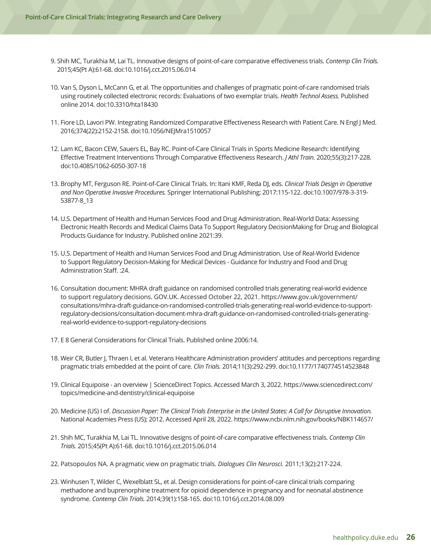- 9. Shih MC, Turakhia M, Lai TL. Innovative designs of point-of-care comparative effectiveness trials. *Contemp Clin Trials.* 2015;45(Pt A):61-68. doi:10.1016/j.cct.2015.06.014
- 10. Van S, Dyson L, McCann G, et al. The opportunities and challenges of pragmatic point-of-care randomised trials using routinely collected electronic records: Evaluations of two exemplar trials. *Health Technol Assess.* Published online 2014. doi:10.3310/hta18430
- 11. Fiore LD, Lavori PW. Integrating Randomized Comparative Effectiveness Research with Patient Care. N Engl J Med. 2016;374(22):2152-2158. doi:10.1056/NEJMra1510057
- 12. Lam KC, Bacon CEW, Sauers EL, Bay RC. Point-of-Care Clinical Trials in Sports Medicine Research: Identifying Effective Treatment Interventions Through Comparative Effectiveness Research. *J Athl Train.* 2020;55(3):217-228. doi:10.4085/1062-6050-307-18
- 13. Brophy MT, Ferguson RE. Point-of-Care Clinical Trials. In: Itani KMF, Reda DJ, eds. *Clinical Trials Design in Operative and Non Operative Invasive Procedures.* Springer International Publishing; 2017:115-122. doi:10.1007/978-3-319- 53877-8\_13
- 14. U.S. Department of Health and Human Services Food and Drug Administration. Real-World Data: Assessing Electronic Health Records and Medical Claims Data To Support Regulatory DecisionMaking for Drug and Biological Products Guidance for Industry. Published online 2021:39.
- 15. U.S. Department of Health and Human Services Food and Drug Administration. Use of Real-World Evidence to Support Regulatory Decision-Making for Medical Devices - Guidance for Industry and Food and Drug Administration Staff. :24.
- 16. Consultation document: MHRA draft guidance on randomised controlled trials generating real-world evidence to support regulatory decisions. GOV.UK. Accessed October 22, 2021. https://www.gov.uk/government/ consultations/mhra-draft-guidance-on-randomised-controlled-trials-generating-real-world-evidence-to-supportregulatory-decisions/consultation-document-mhra-draft-guidance-on-randomised-controlled-trials-generatingreal-world-evidence-to-support-regulatory-decisions
- 17. E 8 General Considerations for Clinical Trials. Published online 2006:14.
- 18. Weir CR, Butler J, Thraen I, et al. Veterans Healthcare Administration providers' attitudes and perceptions regarding pragmatic trials embedded at the point of care. *Clin Trials.* 2014;11(3):292-299. doi:10.1177/1740774514523848
- 19. Clinical Equipoise an overview | ScienceDirect Topics. Accessed March 3, 2022. https://www.sciencedirect.com/ topics/medicine-and-dentistry/clinical-equipoise
- 20. Medicine (US) I of. *Discussion Paper: The Clinical Trials Enterprise in the United States: A Call for Disruptive Innovation.* National Academies Press (US); 2012. Accessed April 28, 2022. https://www.ncbi.nlm.nih.gov/books/NBK114657/
- 21. Shih MC, Turakhia M, Lai TL. Innovative designs of point-of-care comparative effectiveness trials. *Contemp Clin Trials.* 2015;45(Pt A):61-68. doi:10.1016/j.cct.2015.06.014
- 22. Patsopoulos NA. A pragmatic view on pragmatic trials. *Dialogues Clin Neurosci.* 2011;13(2):217-224.
- 23. Winhusen T, Wilder C, Wexelblatt SL, et al. Design considerations for point-of-care clinical trials comparing methadone and buprenorphine treatment for opioid dependence in pregnancy and for neonatal abstinence syndrome. *Contemp Clin Trials.* 2014;39(1):158-165. doi:10.1016/j.cct.2014.08.009